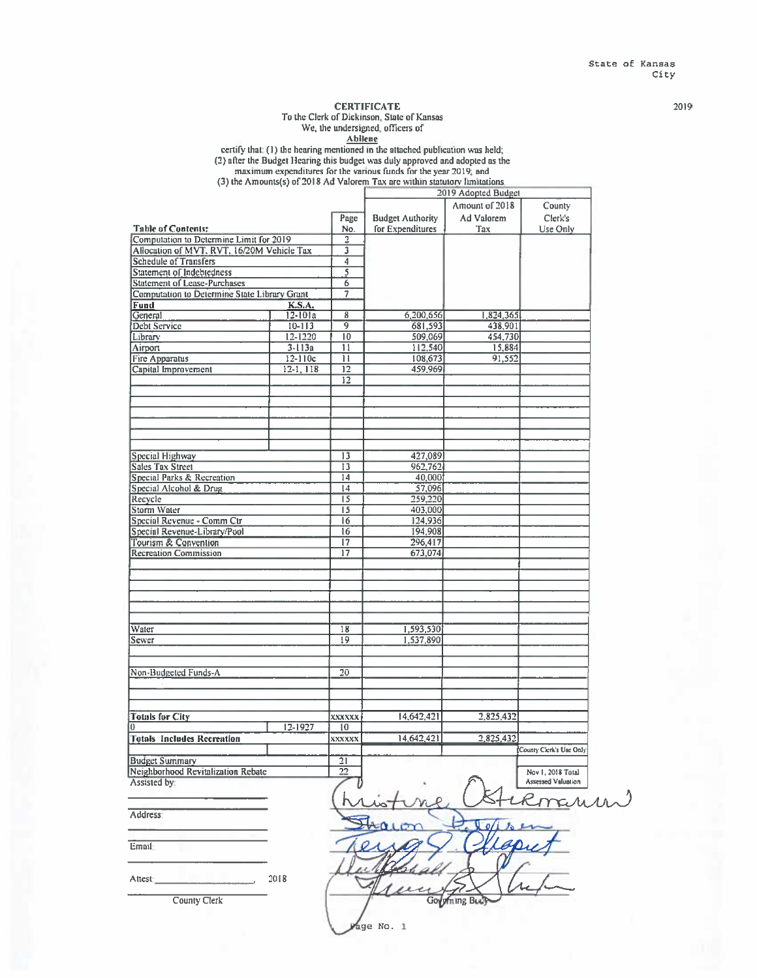#### **CERTIFICATE**

To the Clerk of Dickinson, State of Kansas

We, the undersigned, officers of

**Abilene** 

certify that: (1) the hearing mentioned in the attached publication was held; (2) after the Budget Hearing this budget was duly approved and adopted as the maximum expenditures for the various funds for the year 2019; and

(3) the Amounts(s) of 2018 Ad Valorem Tax are within statutory limitations. 2019 Adopted Budget Amount of 2018 County Ad Valorem Page **Budget Authority** Clerk's Table of Contents:<br>Computation to Determine Limit for 2019 No. for Expenditures Use Only Tax  $\frac{1}{2}$ Allocation of MVT, RVT, 16/20M Vehicle Tax  $\overline{\mathbf{3}}$ **Schedule of Transfers**  $\overline{4}$  $\overline{s}$ Statement of Indebtedness **Statement of Lease-Purchases**  $\overline{6}$ Computation to Determine State Library Grant  $\overline{7}$ **Fund**  $K.S.A.$  $\overline{8}$ General  $12 - 101a$ 6,200,656 1,824,365  $\overline{9}$ 681,593 438,901 Debt Service  $10 - 113$ 509,069 454,730 Library  $12 - 1220$  $\overline{10}$ Airport  $3 - 113a$  $\overline{11}$ 112,540 15,884  $12 - 110c$  $\overline{\mathbb{H}}$ 108,673 91,552 **Fire Apparatus**  $12-1, 118$ Capital Improvement  $\overline{12}$ 459,969  $12$ Special Highway  $\overline{13}$ 427,089 **Sales Tax Street**  $\overline{13}$ 962,762 40,000 Special Parks & Recreation  $14$ Special Alcohol & Drug  $\overline{14}$ 57,096  $\overline{15}$ 259,220 Recycle Storm Water 403,000  $15$ Special Revenue - Comm Ctr  $\overline{16}$ 124,936 Special Revenue-Library/Pool  $\overline{16}$ 194,908 Tourism & Convention 296,417  $\overline{17}$ **Recreation Commission**  $17$ 673,074 Water  $\overline{18}$ 1,593,530  $\overline{19}$ 1,537,890 Sewer Non-Budgeted Funds-A  $\overline{20}$ **Totals for City** 14,642,421 2,825,432 xxxxxx  $12-1927$  $\overline{10}$ 14,642,421 **Totals Includes Recreation** 2,825,432 XXXXXX County Clerk's Use Only **Budget Summary**  $\overline{21}$  $\frac{1}{22}$ Neighborhood Revitalization Rebate Nov 1, 2018 Total Assisted by **Assessed Valuation** mar Address

Email

2018 Attest:

**County Clerk** 

Governing Body

age No. 1

2019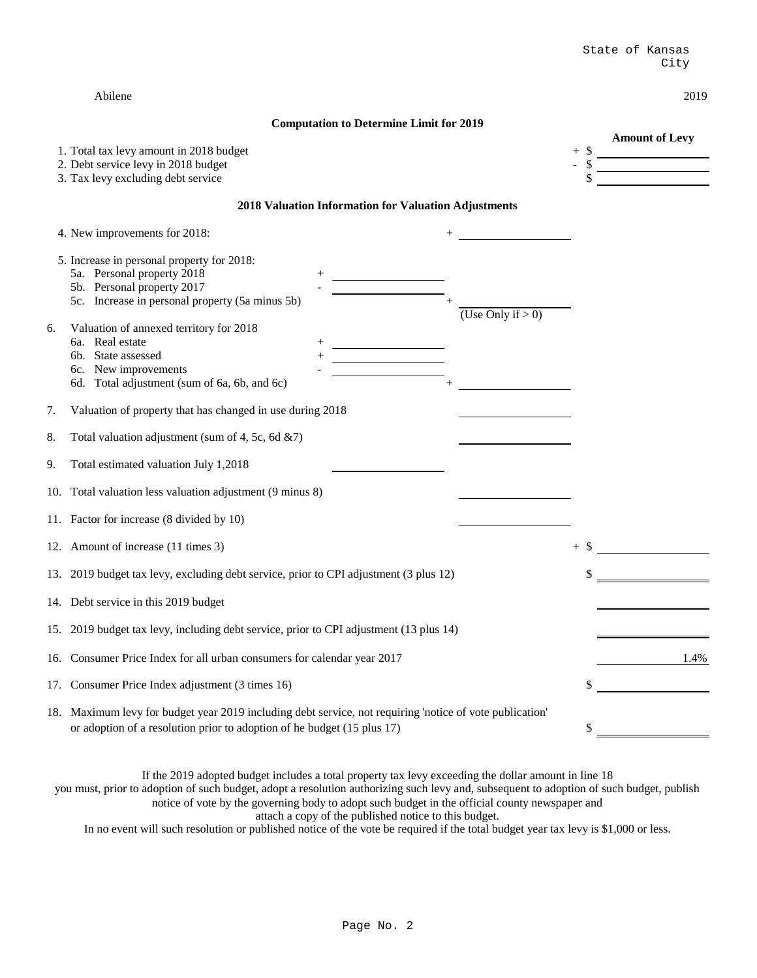| Abilene | 2019 |
|---------|------|
|---------|------|

#### **Computation to Determine Limit for 2019**

**Amount of Levy**

| 1. Total tax levy amount in 2018 budget |  |  |
|-----------------------------------------|--|--|
|-----------------------------------------|--|--|

| 2. Debt service levy in 2018 budget |  |
|-------------------------------------|--|
|-------------------------------------|--|

3. Tax levy excluding debt service  $\frac{1}{2}$ 

#### **2018 Valuation Information for Valuation Adjustments**

|    | 4. New improvements for 2018:                                                                                                                                                                                        |                      |      |
|----|----------------------------------------------------------------------------------------------------------------------------------------------------------------------------------------------------------------------|----------------------|------|
|    | 5. Increase in personal property for 2018:<br>5a. Personal property 2018<br>5b. Personal property 2017<br>5c. Increase in personal property (5a minus 5b)                                                            | (Use Only if $> 0$ ) |      |
| 6. | Valuation of annexed territory for 2018<br>6a. Real estate<br>State assessed<br>6b.<br><u> 1990 - John Barn Barn, amerikansk politiker (</u><br>6c. New improvements<br>6d. Total adjustment (sum of 6a, 6b, and 6c) |                      |      |
| 7. | Valuation of property that has changed in use during 2018                                                                                                                                                            |                      |      |
| 8. | Total valuation adjustment (sum of 4, 5c, 6d &7)                                                                                                                                                                     |                      |      |
| 9. | Total estimated valuation July 1,2018                                                                                                                                                                                |                      |      |
|    | 10. Total valuation less valuation adjustment (9 minus 8)                                                                                                                                                            |                      |      |
|    | 11. Factor for increase (8 divided by 10)                                                                                                                                                                            |                      |      |
|    | 12. Amount of increase (11 times 3)                                                                                                                                                                                  | $+$ \$               |      |
|    | 13. 2019 budget tax levy, excluding debt service, prior to CPI adjustment (3 plus 12)                                                                                                                                |                      |      |
|    | 14. Debt service in this 2019 budget                                                                                                                                                                                 |                      |      |
|    | 15. 2019 budget tax levy, including debt service, prior to CPI adjustment (13 plus 14)                                                                                                                               |                      |      |
|    | 16. Consumer Price Index for all urban consumers for calendar year 2017                                                                                                                                              |                      | 1.4% |
|    | 17. Consumer Price Index adjustment (3 times 16)                                                                                                                                                                     |                      |      |
|    | 18. Maximum levy for budget year 2019 including debt service, not requiring 'notice of vote publication'<br>or adoption of a resolution prior to adoption of he budget (15 plus 17)                                  |                      |      |

In no event will such resolution or published notice of the vote be required if the total budget year tax levy is \$1,000 or less. attach a copy of the published notice to this budget. you must, prior to adoption of such budget, adopt a resolution authorizing such levy and, subsequent to adoption of such budget, publish notice of vote by the governing body to adopt such budget in the official county newspaper and If the 2019 adopted budget includes a total property tax levy exceeding the dollar amount in line 18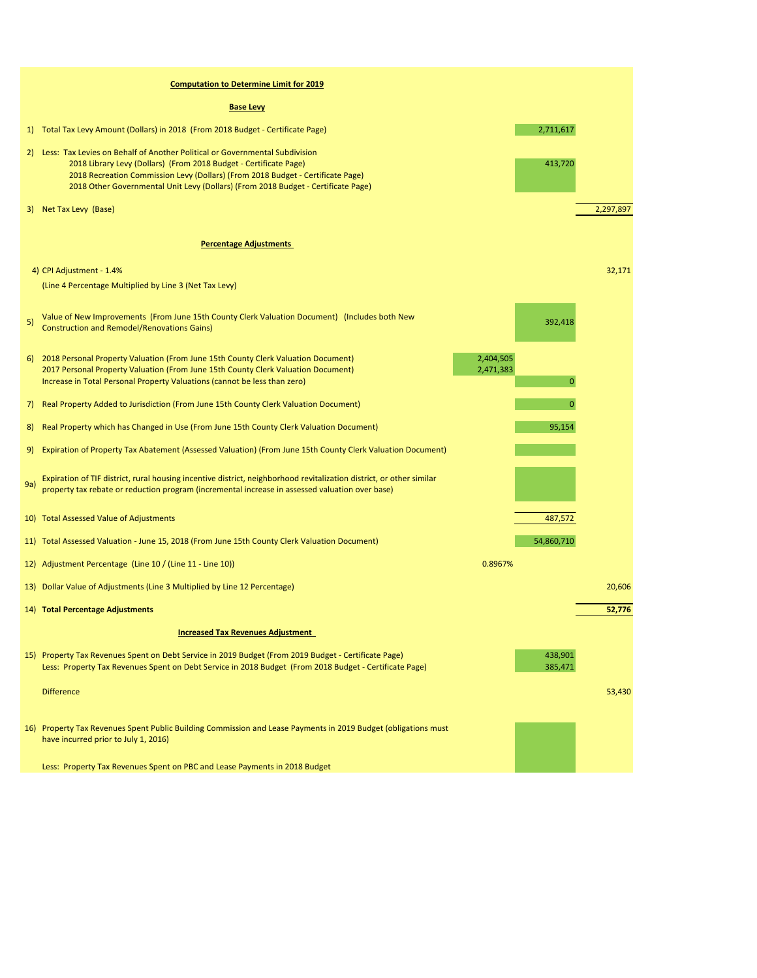|              | <b>Computation to Determine Limit for 2019</b>                                                                                                                                                                                                                                                                           |                                          |           |
|--------------|--------------------------------------------------------------------------------------------------------------------------------------------------------------------------------------------------------------------------------------------------------------------------------------------------------------------------|------------------------------------------|-----------|
|              | <b>Base Levy</b>                                                                                                                                                                                                                                                                                                         |                                          |           |
| 1)           | Total Tax Levy Amount (Dollars) in 2018 (From 2018 Budget - Certificate Page)                                                                                                                                                                                                                                            | 2,711,617                                |           |
| 2)           | Less: Tax Levies on Behalf of Another Political or Governmental Subdivision<br>2018 Library Levy (Dollars) (From 2018 Budget - Certificate Page)<br>2018 Recreation Commission Levy (Dollars) (From 2018 Budget - Certificate Page)<br>2018 Other Governmental Unit Levy (Dollars) (From 2018 Budget - Certificate Page) | 413,720                                  |           |
| 3)           | Net Tax Levy (Base)                                                                                                                                                                                                                                                                                                      |                                          | 2,297,897 |
|              | <b>Percentage Adjustments</b>                                                                                                                                                                                                                                                                                            |                                          |           |
|              |                                                                                                                                                                                                                                                                                                                          |                                          | 32,171    |
|              | 4) CPI Adjustment - 1.4%<br>(Line 4 Percentage Multiplied by Line 3 (Net Tax Levy)                                                                                                                                                                                                                                       |                                          |           |
| 5)           | Value of New Improvements (From June 15th County Clerk Valuation Document) (Includes both New<br><b>Construction and Remodel/Renovations Gains)</b>                                                                                                                                                                      | 392,418                                  |           |
| <sup>6</sup> | 2018 Personal Property Valuation (From June 15th County Clerk Valuation Document)<br>2017 Personal Property Valuation (From June 15th County Clerk Valuation Document)<br>Increase in Total Personal Property Valuations (cannot be less than zero)                                                                      | 2,404,505<br>2,471,383<br>$\overline{0}$ |           |
| 7)           | Real Property Added to Jurisdiction (From June 15th County Clerk Valuation Document)                                                                                                                                                                                                                                     | $\overline{0}$                           |           |
| 8)           | Real Property which has Changed in Use (From June 15th County Clerk Valuation Document)                                                                                                                                                                                                                                  | 95,154                                   |           |
| 9)           | Expiration of Property Tax Abatement (Assessed Valuation) (From June 15th County Clerk Valuation Document)                                                                                                                                                                                                               |                                          |           |
| 9a)          | Expiration of TIF district, rural housing incentive district, neighborhood revitalization district, or other similar<br>property tax rebate or reduction program (incremental increase in assessed valuation over base)                                                                                                  |                                          |           |
|              | 10) Total Assessed Value of Adjustments                                                                                                                                                                                                                                                                                  | 487,572                                  |           |
|              | 11) Total Assessed Valuation - June 15, 2018 (From June 15th County Clerk Valuation Document)                                                                                                                                                                                                                            | 54,860,710                               |           |
|              | 12) Adjustment Percentage (Line 10 / (Line 11 - Line 10))                                                                                                                                                                                                                                                                | 0.8967%                                  |           |
|              | 13) Dollar Value of Adjustments (Line 3 Multiplied by Line 12 Percentage)                                                                                                                                                                                                                                                |                                          | 20,606    |
|              | 14) Total Percentage Adjustments                                                                                                                                                                                                                                                                                         |                                          | 52,776    |
|              | <b>Increased Tax Revenues Adjustment</b>                                                                                                                                                                                                                                                                                 |                                          |           |
|              | 15) Property Tax Revenues Spent on Debt Service in 2019 Budget (From 2019 Budget - Certificate Page)<br>Less: Property Tax Revenues Spent on Debt Service in 2018 Budget (From 2018 Budget - Certificate Page)                                                                                                           | 438,901<br>385,471                       |           |
|              | <b>Difference</b>                                                                                                                                                                                                                                                                                                        |                                          | 53,430    |
| <b>16)</b>   | Property Tax Revenues Spent Public Building Commission and Lease Payments in 2019 Budget (obligations must<br>have incurred prior to July 1, 2016)                                                                                                                                                                       |                                          |           |
|              | Less: Property Tax Revenues Spent on PBC and Lease Payments in 2018 Budget                                                                                                                                                                                                                                               |                                          |           |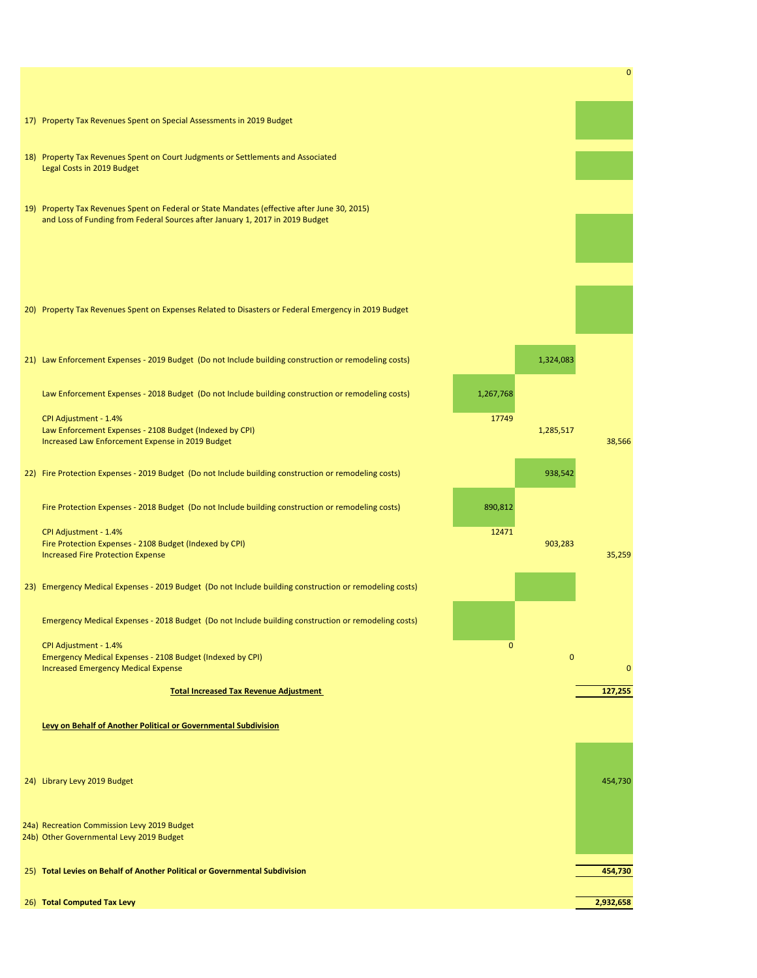0

- 17) Property Tax Revenues Spent on Special Assessments in 2019 Budget
- 18) Property Tax Revenues Spent on Court Judgments or Settlements and Associated Legal Costs in 2019 Budget
- 19) Property Tax Revenues Spent on Federal or State Mandates (effective after June 30, 2015) and Loss of Funding from Federal Sources after January 1, 2017 in 2019 Budget
- 20) Property Tax Revenues Spent on Expenses Related to Disasters or Federal Emergency in 2019 Budget
- 21) Law Enforcement Expenses 2019 Budget (Do not Include building construction or remodeling costs) 1,324,083

Law Enforcement Expenses - 2018 Budget (Do not Include building construction or remodeling costs) 1,267,768

CPI Adjustment - 1.4% 17749 Law Enforcement Expenses - 2108 Budget (Indexed by CPI) 1,285,517 and the contract of the contract of the contract of the contract of the contract of the contract of the contract of the contract of the contract of the cont

22) Fire Protection Expenses - 2019 Budget (Do not Include building construction or remodeling costs) 938,542

Fire Protection Expenses - 2018 Budget (Do not Include building construction or remodeling costs) 890,812

CPI Adjustment - 1.4% and the contract of the contract of the contract of the contract of the contract of the contract of the contract of the contract of the contract of the contract of the contract of the contract of the Emergency Medical Expenses - 2108 Budget (Indexed by CPI) 0 Increased Emergency Medical Expense 0



CPI Adjustment - 1.4% 12471 Fire Protection Expenses - 2108 Budget (Indexed by CPI) 903,283 Increased Fire Protection Expense 35,259

23) Emergency Medical Expenses - 2019 Budget (Do not Include building construction or remodeling costs)

Emergency Medical Expenses - 2018 Budget (Do not Include building construction or remodeling costs)



**Levy on Behalf of Another Political or Governmental Subdivision**

24a) Recreation Commission Levy 2019 Budget

24b) Other Governmental Levy 2019 Budget

| 25) Total Levies on Behalf of Another Political or Governmental Subdivision | 454,730 |
|-----------------------------------------------------------------------------|---------|
|-----------------------------------------------------------------------------|---------|

26) **Total Computed Tax Levy 2,932,658**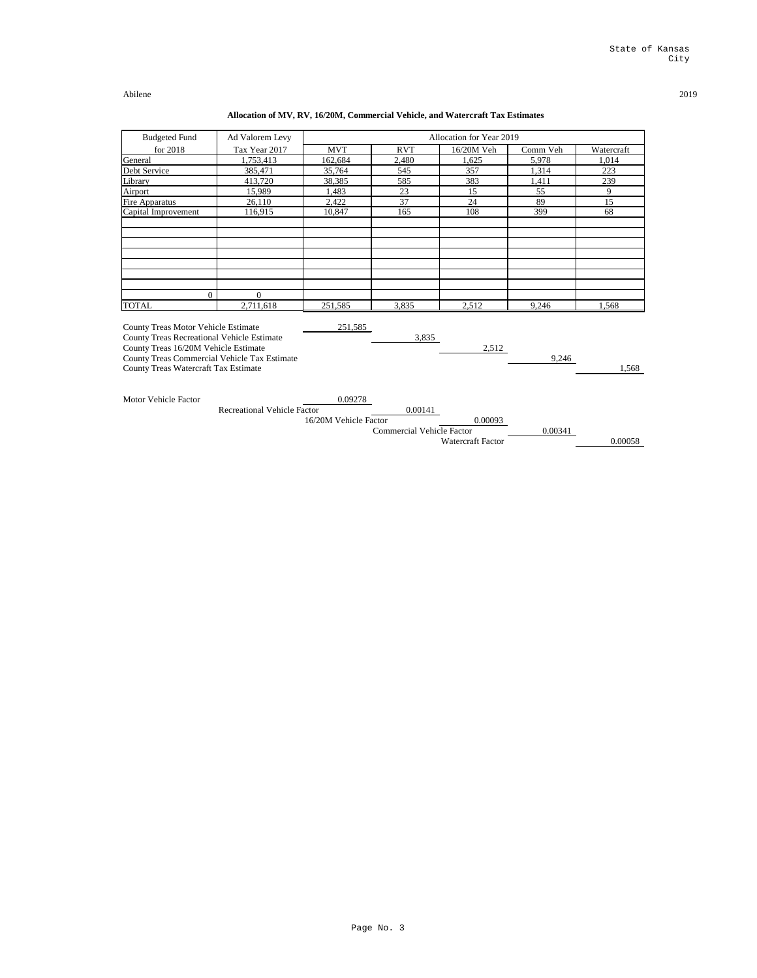| <b>Budgeted Fund</b>                                                                                                                                                                                                                   | Ad Valorem Levy                    |                                  |                                  | Allocation for Year 2019 |          |            |
|----------------------------------------------------------------------------------------------------------------------------------------------------------------------------------------------------------------------------------------|------------------------------------|----------------------------------|----------------------------------|--------------------------|----------|------------|
| for 2018                                                                                                                                                                                                                               | Tax Year 2017                      | <b>MVT</b>                       | <b>RVT</b>                       | 16/20M Veh               | Comm Veh | Watercraft |
| General                                                                                                                                                                                                                                | 1,753,413                          | 162,684                          | 2,480                            | 1,625                    | 5,978    | 1,014      |
| Debt Service                                                                                                                                                                                                                           | 385,471                            | 35,764                           | 545                              | 357                      | 1,314    | 223        |
| Library                                                                                                                                                                                                                                | 413,720                            | 38,385                           | 585                              | 383                      | 1,411    | 239        |
| <b>Airport</b>                                                                                                                                                                                                                         | 15,989                             | 1,483                            | 23                               | 15                       | 55       | 9          |
| <b>Fire Apparatus</b>                                                                                                                                                                                                                  | 26,110                             | 2,422                            | 37                               | 24                       | 89       | 15         |
| Capital Improvement                                                                                                                                                                                                                    | 116,915                            | 10,847                           | 165                              | 108                      | 399      | 68         |
|                                                                                                                                                                                                                                        |                                    |                                  |                                  |                          |          |            |
|                                                                                                                                                                                                                                        |                                    |                                  |                                  |                          |          |            |
| $\boldsymbol{0}$                                                                                                                                                                                                                       | $\overline{0}$                     |                                  |                                  |                          |          |            |
| <b>TOTAL</b>                                                                                                                                                                                                                           | 2,711,618                          | 251,585                          | 3,835                            | 2,512                    | 9,246    | 1,568      |
| <b>County Treas Motor Vehicle Estimate</b><br><b>County Treas Recreational Vehicle Estimate</b><br>County Treas 16/20M Vehicle Estimate<br>County Treas Commercial Vehicle Tax Estimate<br><b>County Treas Watercraft Tax Estimate</b> |                                    | 251,585                          | 3,835                            | 2,512                    | 9,246    | 1,568      |
| <b>Motor Vehicle Factor</b>                                                                                                                                                                                                            | <b>Recreational Vehicle Factor</b> | 0.09278<br>16/20M Vehicle Factor | 0.00141                          | 0.00093                  |          |            |
|                                                                                                                                                                                                                                        |                                    |                                  | <b>Commercial Vehicle Factor</b> | <b>Watercraft Factor</b> | 0.00341  | 0.00058    |

# **Allocation of MV, RV, 16/20M, Commercial Vehicle, and Watercraft Tax Estimates**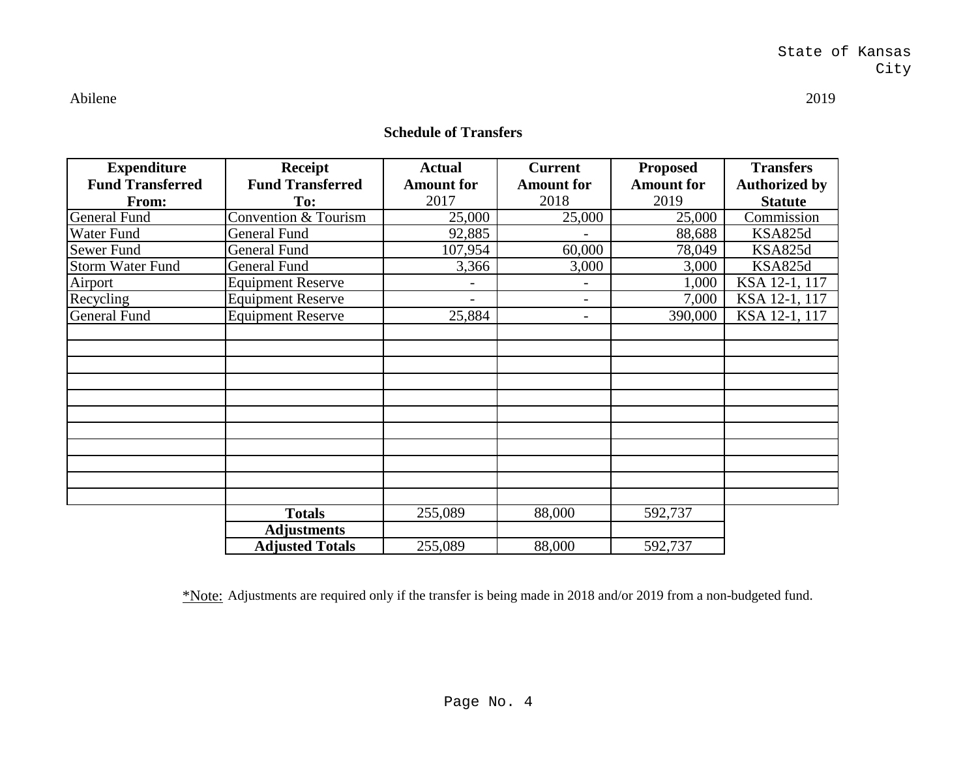## **Schedule of Transfers**

| <b>Expenditure</b>      | <b>Receipt</b>           | <b>Actual</b>     | <b>Current</b>           | <b>Proposed</b>   | <b>Transfers</b>     |
|-------------------------|--------------------------|-------------------|--------------------------|-------------------|----------------------|
| <b>Fund Transferred</b> | <b>Fund Transferred</b>  | <b>Amount for</b> | <b>Amount for</b>        | <b>Amount for</b> | <b>Authorized by</b> |
| From:                   | To:                      | 2017              | 2018                     | 2019              | <b>Statute</b>       |
| <b>General Fund</b>     | Convention & Tourism     | 25,000            | 25,000                   | 25,000            | Commission           |
| Water Fund              | <b>General Fund</b>      | 92,885            |                          | 88,688            | <b>KSA825d</b>       |
| Sewer Fund              | <b>General Fund</b>      | 107,954           | 60,000                   | 78,049            | <b>KSA825d</b>       |
| Storm Water Fund        | <b>General Fund</b>      | 3,366             | 3,000                    | 3,000             | <b>KSA825d</b>       |
| Airport                 | <b>Equipment Reserve</b> |                   | $\overline{\phantom{0}}$ | 1,000             | KSA 12-1, 117        |
| Recycling               | <b>Equipment Reserve</b> |                   | -                        | 7,000             | KSA 12-1, 117        |
| <b>General Fund</b>     | <b>Equipment Reserve</b> | 25,884            | -                        | 390,000           | KSA 12-1, 117        |
|                         |                          |                   |                          |                   |                      |
|                         |                          |                   |                          |                   |                      |
|                         |                          |                   |                          |                   |                      |
|                         |                          |                   |                          |                   |                      |
|                         |                          |                   |                          |                   |                      |
|                         |                          |                   |                          |                   |                      |
|                         |                          |                   |                          |                   |                      |
|                         |                          |                   |                          |                   |                      |
|                         |                          |                   |                          |                   |                      |
|                         |                          |                   |                          |                   |                      |
|                         |                          |                   |                          |                   |                      |
|                         | <b>Totals</b>            | 255,089           | 88,000                   | 592,737           |                      |
|                         | <b>Adjustments</b>       |                   |                          |                   |                      |
|                         | <b>Adjusted Totals</b>   | 255,089           | 88,000                   | 592,737           |                      |

\*Note: Adjustments are required only if the transfer is being made in 2018 and/or 2019 from a non-budgeted fund.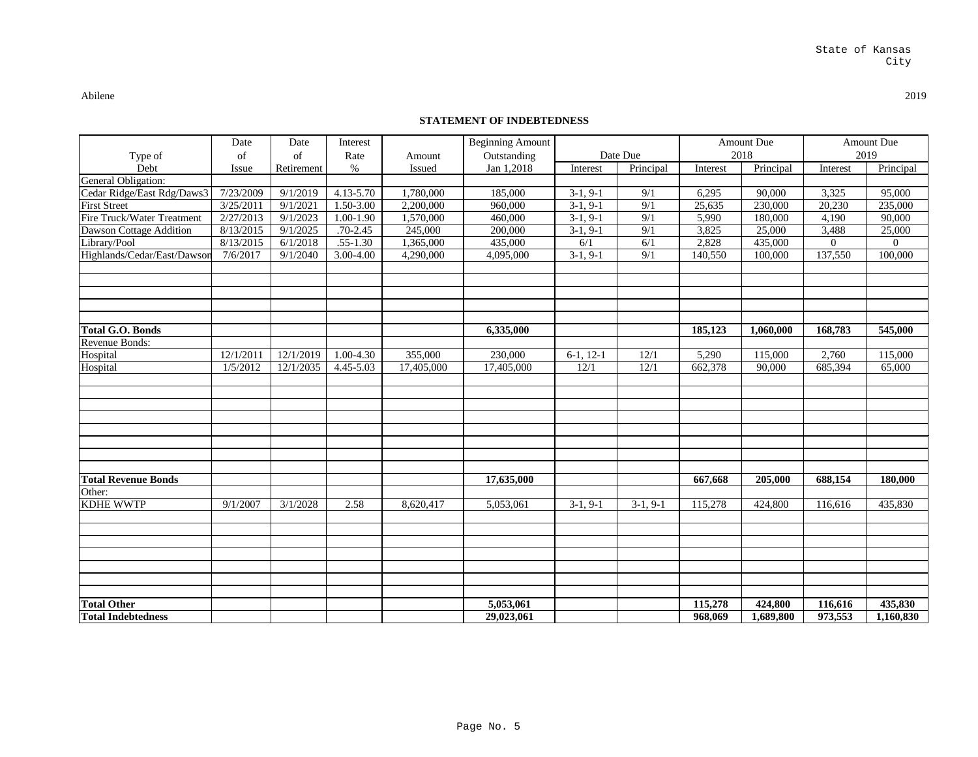## **STATEMENT OF INDEBTEDNESS**

| Type of                           | Date<br>of | Date<br>of | Interest<br>Rate | Amount     | <b>Beginning Amount</b><br>Outstanding |              | Date Due   |          | <b>Amount Due</b><br>2018 |                | <b>Amount Due</b><br>2019 |
|-----------------------------------|------------|------------|------------------|------------|----------------------------------------|--------------|------------|----------|---------------------------|----------------|---------------------------|
| Debt                              | Issue      | Retirement | $\%$             | Issued     | Jan 1,2018                             | Interest     | Principal  | Interest | Principal                 | Interest       | Principal                 |
| General Obligation:               |            |            |                  |            |                                        |              |            |          |                           |                |                           |
| Cedar Ridge/East Rdg/Daws3        | 7/23/2009  | 9/1/2019   | 4.13-5.70        | 1,780,000  | 185,000                                | $3-1, 9-1$   | 9/1        | 6,295    | 90,000                    | 3,325          | 95,000                    |
| <b>First Street</b>               | 3/25/2011  | 9/1/2021   | 1.50-3.00        | 2,200,000  | 960,000                                | $3-1, 9-1$   | 9/1        | 25,635   | 230,000                   | 20,230         | 235,000                   |
| <b>Fire Truck/Water Treatment</b> | 2/27/2013  | 9/1/2023   | 1.00-1.90        | ,570,000   | 460,000                                | $3-1, 9-1$   | 9/1        | 5,990    | 180,000                   | 4,190          | 90,000                    |
| Dawson Cottage Addition           | 8/13/2015  | 9/1/2025   | $.70 - 2.45$     | 245,000    | 200,000                                | $3-1, 9-1$   | 9/1        | 3,825    | 25,000                    | 3,488          | 25,000                    |
| Library/Pool                      | 8/13/2015  | 6/1/2018   | $.55 - 1.30$     | ,365,000   | 435,000                                | 6/1          | 6/1        | 2,828    | 435,000                   | $\overline{0}$ | $\overline{0}$            |
| Highlands/Cedar/East/Dawson       | 7/6/2017   | 9/1/2040   | 3.00-4.00        | 4,290,000  | 4,095,000                              | $3-1, 9-1$   | 9/1        | 140,550  | 100,000                   | 137,550        | 100,000                   |
|                                   |            |            |                  |            |                                        |              |            |          |                           |                |                           |
| <b>Total G.O. Bonds</b>           |            |            |                  |            | 6,335,000                              |              |            | 185,123  | 1,060,000                 | 168,783        | 545,000                   |
| Revenue Bonds:                    |            |            |                  |            |                                        |              |            |          |                           |                |                           |
| Hospital                          | 12/1/2011  | 12/1/2019  | 1.00-4.30        | 355,000    | 230,000                                | $6-1$ , 12-1 | 12/1       | 5,290    | 115,000                   | 2,760          | 115,000                   |
| Hospital                          | 1/5/2012   | 12/1/2035  | 4.45-5.03        | 17,405,000 | 17,405,000                             | 12/1         | 12/1       | 662,378  | 90,000                    | 685,394        | 65,000                    |
|                                   |            |            |                  |            |                                        |              |            |          |                           |                |                           |
| <b>Total Revenue Bonds</b>        |            |            |                  |            | 17,635,000                             |              |            | 667,668  | 205,000                   | 688,154        | 180,000                   |
| Other:                            |            |            |                  |            |                                        |              |            |          |                           |                |                           |
| <b>KDHE WWTP</b>                  | 9/1/2007   | 3/1/2028   | 2.58             | 8,620,417  | 5,053,061                              | $3-1, 9-1$   | $3-1, 9-1$ | 115,278  | 424,800                   | 116,616        | 435,830                   |
|                                   |            |            |                  |            |                                        |              |            |          |                           |                |                           |
|                                   |            |            |                  |            |                                        |              |            |          |                           |                |                           |
|                                   |            |            |                  |            |                                        |              |            |          |                           |                |                           |
| <b>Total Other</b>                |            |            |                  |            | 5,053,061                              |              |            | 115,278  | 424,800                   | 116,616        | 435,830                   |
| <b>Total Indebtedness</b>         |            |            |                  |            | 29,023,061                             |              |            | 968,069  | 1,689,800                 | 973,553        | 1,160,830                 |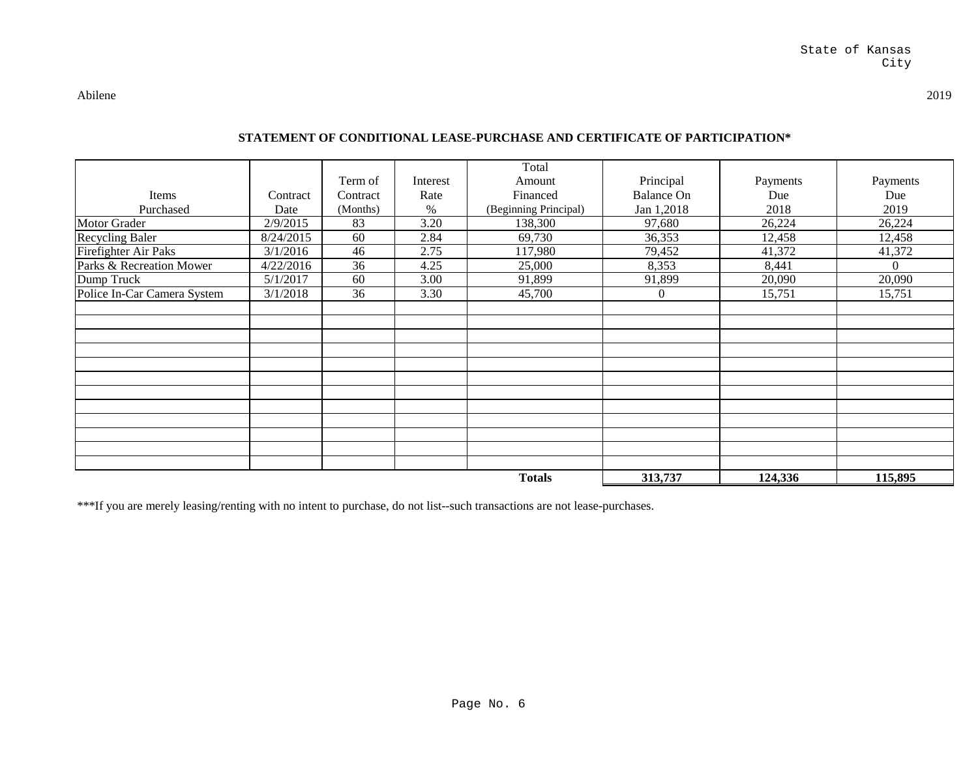## **STATEMENT OF CONDITIONAL LEASE-PURCHASE AND CERTIFICATE OF PARTICIPATION\***

|                             |           |          |          | Total                 |                   |          |                |
|-----------------------------|-----------|----------|----------|-----------------------|-------------------|----------|----------------|
|                             |           | Term of  | Interest | Amount                | Principal         | Payments | Payments       |
| Items                       | Contract  | Contract | Rate     | Financed              | <b>Balance On</b> | Due      | Due            |
| Purchased                   | Date      | (Months) | $\%$     | (Beginning Principal) | Jan 1,2018        | 2018     | 2019           |
| <b>Motor Grader</b>         | 2/9/2015  | 83       | 3.20     | 138,300               | 97,680            | 26,224   | 26,224         |
| Recycling Baler             | 8/24/2015 | 60       | 2.84     | 69,730                | 36,353            | 12,458   | 12,458         |
| <b>Firefighter Air Paks</b> | 3/1/2016  | 46       | 2.75     | 117,980               | 79,452            | 41,372   | 41,372         |
| Parks & Recreation Mower    | 4/22/2016 | 36       | 4.25     | 25,000                | 8,353             | 8,441    | $\overline{0}$ |
| Dump Truck                  | 5/1/2017  | 60       | 3.00     | 91,899                | 91,899            | 20,090   | 20,090         |
| Police In-Car Camera System | 3/1/2018  | 36       | 3.30     | 45,700                | $\overline{0}$    | 15,751   | 15,751         |
|                             |           |          |          |                       |                   |          |                |
|                             |           |          |          |                       |                   |          |                |
|                             |           |          |          |                       |                   |          |                |
|                             |           |          |          |                       |                   |          |                |
|                             |           |          |          |                       |                   |          |                |
|                             |           |          |          |                       |                   |          |                |
|                             |           |          |          |                       |                   |          |                |
|                             |           |          |          |                       |                   |          |                |
|                             |           |          |          |                       |                   |          |                |
|                             |           |          |          |                       |                   |          |                |
|                             |           |          |          |                       |                   |          |                |
|                             |           |          |          |                       |                   |          |                |
|                             |           |          |          | <b>Totals</b>         | 313,737           | 124,336  | 115,895        |

\*\*\*If you are merely leasing/renting with no intent to purchase, do not list--such transactions are not lease-purchases.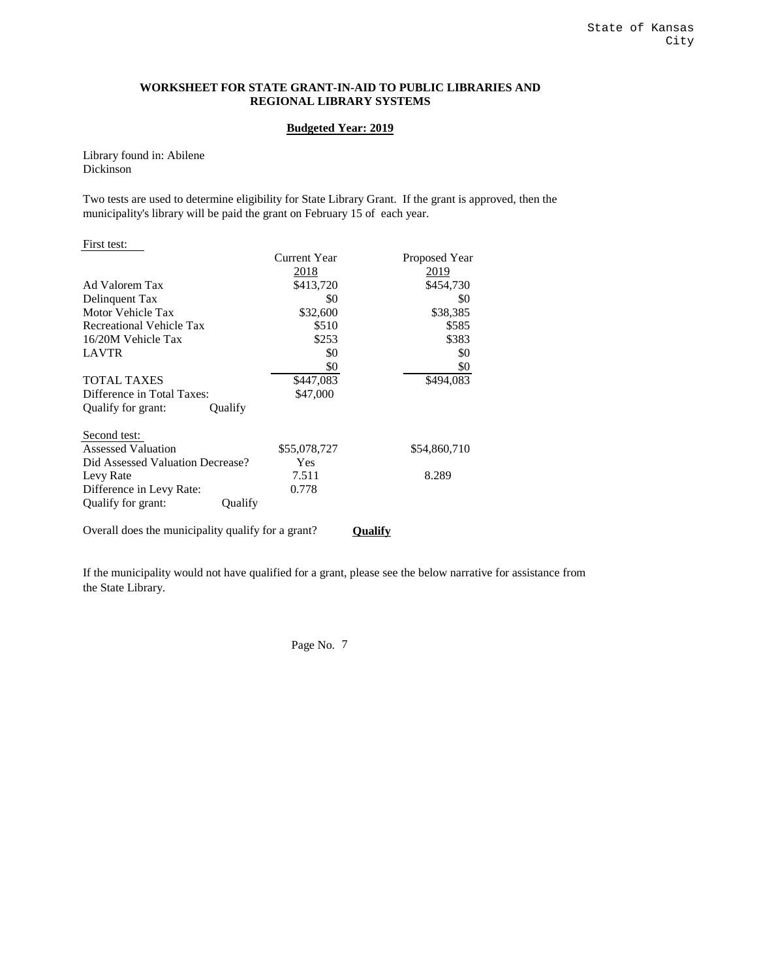#### **WORKSHEET FOR STATE GRANT-IN-AID TO PUBLIC LIBRARIES AND REGIONAL LIBRARY SYSTEMS**

#### **Budgeted Year: 2019**

Library found in: Abilene Dickinson

Two tests are used to determine eligibility for State Library Grant. If the grant is approved, then the municipality's library will be paid the grant on February 15 of each year.

| First test:                                        |                     |                |
|----------------------------------------------------|---------------------|----------------|
|                                                    | <b>Current Year</b> | Proposed Year  |
|                                                    | 2018                | 2019           |
| Ad Valorem Tax                                     | \$413,720           | \$454,730      |
| Delinquent Tax                                     | \$0                 | \$0            |
| Motor Vehicle Tax                                  | \$32,600            | \$38,385       |
| <b>Recreational Vehicle Tax</b>                    | \$510               | \$585          |
| 16/20M Vehicle Tax                                 | \$253               | \$383          |
| <b>LAVTR</b>                                       | \$0                 | \$0            |
|                                                    | \$0                 | \$0            |
| <b>TOTAL TAXES</b>                                 | \$447,083           | \$494,083      |
| Difference in Total Taxes:                         | \$47,000            |                |
| Qualify for grant:<br>Qualify                      |                     |                |
| Second test:                                       |                     |                |
| <b>Assessed Valuation</b>                          | \$55,078,727        | \$54,860,710   |
| Did Assessed Valuation Decrease?                   | Yes                 |                |
| Levy Rate                                          | 7.511               | 8.289          |
| Difference in Levy Rate:                           | 0.778               |                |
| Qualify for grant:<br>Qualify                      |                     |                |
| Overall does the municipality qualify for a grant? |                     | <b>Qualify</b> |

If the municipality would not have qualified for a grant, please see the below narrative for assistance from the State Library.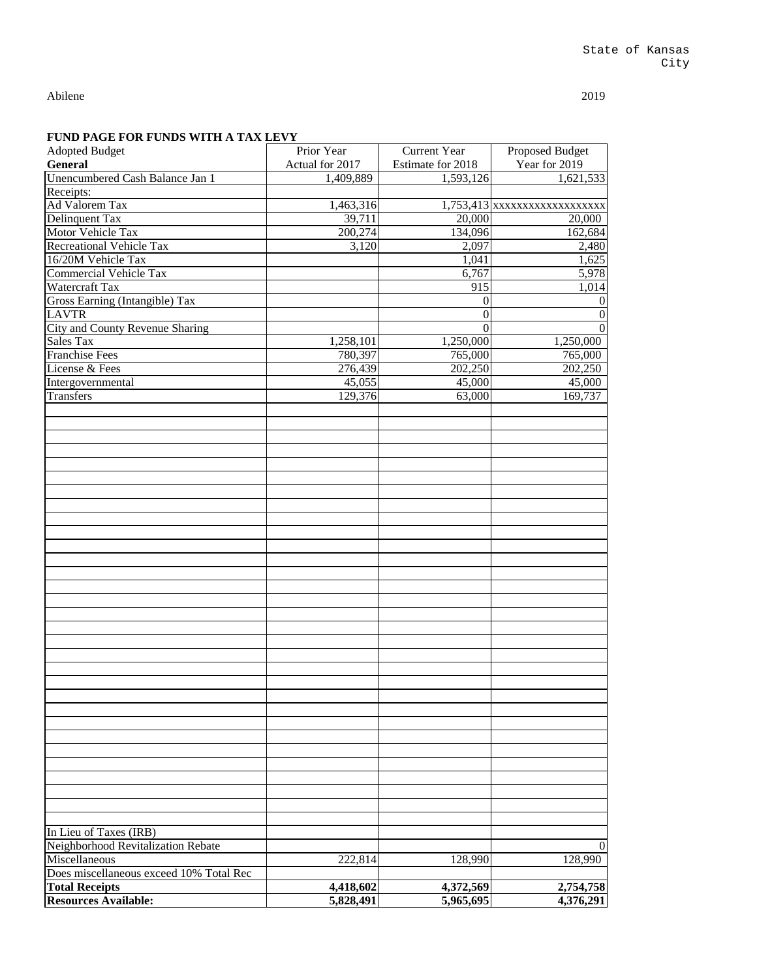| <b>Adopted Budget</b>                     | Prior Year      | <b>Current Year</b> | Proposed Budget                |
|-------------------------------------------|-----------------|---------------------|--------------------------------|
| <b>General</b>                            | Actual for 2017 | Estimate for 2018   | Year for 2019                  |
| Unencumbered Cash Balance Jan 1           | 1,409,889       | 1,593,126           | 1,621,533                      |
| Receipts:                                 |                 |                     |                                |
| <b>Ad Valorem Tax</b>                     | 1,463,316       |                     | 1,753,413 xxxxxxxxxxxxxxxxxxxx |
| Delinquent Tax                            | 39,711          | 20,000              | 20,000                         |
| Motor Vehicle Tax                         | 200,274         | 134,096             | 162,684                        |
| Recreational Vehicle Tax                  | 3,120           | 2,097               | 2,480                          |
| 16/20M Vehicle Tax                        |                 | 1,041               | 1,625                          |
| <b>Commercial Vehicle Tax</b>             |                 | 6,767               | 5,978                          |
| Watercraft Tax                            |                 | 915                 | 1,014                          |
| Gross Earning (Intangible) Tax            |                 | $\boldsymbol{0}$    | $\mathbf{0}$                   |
| <b>LAVTR</b>                              |                 | $\boldsymbol{0}$    | $\boldsymbol{0}$               |
| City and County Revenue Sharing           |                 | $\overline{0}$      | $\overline{0}$                 |
|                                           |                 |                     |                                |
| <b>Sales Tax</b>                          | 1,258,101       | 1,250,000           | 1,250,000                      |
| <b>Franchise Fees</b>                     | 780,397         | 765,000             | 765,000                        |
| License & Fees                            | 276,439         | 202,250             | 202,250                        |
| Intergovernmental                         | 45,055          | 45,000              | 45,000                         |
| Transfers                                 | 129,376         | 63,000              | 169,737                        |
|                                           |                 |                     |                                |
|                                           |                 |                     |                                |
|                                           |                 |                     |                                |
|                                           |                 |                     |                                |
|                                           |                 |                     |                                |
|                                           |                 |                     |                                |
|                                           |                 |                     |                                |
|                                           |                 |                     |                                |
|                                           |                 |                     |                                |
|                                           |                 |                     |                                |
|                                           |                 |                     |                                |
|                                           |                 |                     |                                |
|                                           |                 |                     |                                |
|                                           |                 |                     |                                |
|                                           |                 |                     |                                |
|                                           |                 |                     |                                |
|                                           |                 |                     |                                |
|                                           |                 |                     |                                |
|                                           |                 |                     |                                |
|                                           |                 |                     |                                |
|                                           |                 |                     |                                |
|                                           |                 |                     |                                |
|                                           |                 |                     |                                |
|                                           |                 |                     |                                |
|                                           |                 |                     |                                |
|                                           |                 |                     |                                |
|                                           |                 |                     |                                |
|                                           |                 |                     |                                |
|                                           |                 |                     |                                |
|                                           |                 |                     |                                |
|                                           |                 |                     |                                |
|                                           |                 |                     |                                |
| In Lieu of Taxes (IRB)                    |                 |                     |                                |
| <b>Neighborhood Revitalization Rebate</b> |                 |                     | $\overline{0}$                 |
| Miscellaneous                             |                 |                     |                                |
|                                           | 222,814         | 128,990             | 128,990                        |
| Does miscellaneous exceed 10% Total Rec   |                 |                     |                                |
| <b>Total Receipts</b>                     | 4,418,602       | 4,372,569           | 2,754,758                      |
| <b>Resources Available:</b>               | 5,828,491       | 5,965,695           | 4,376,291                      |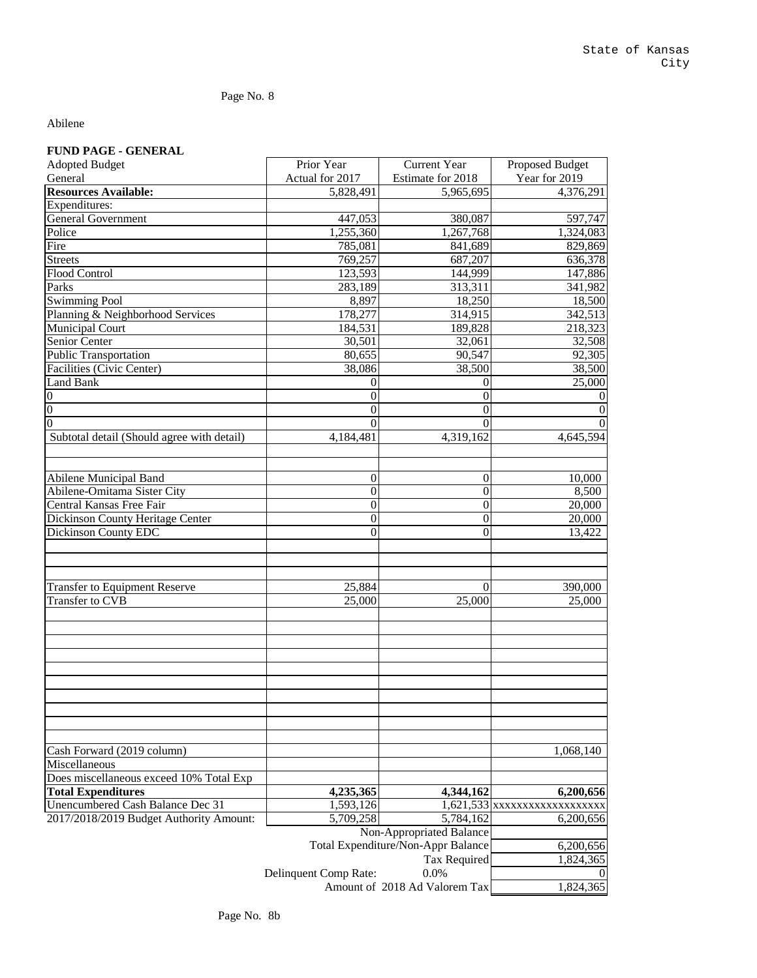Page No. 8

### Abilene

## **FUND PAGE - GENERAL**

| <b>Adopted Budget</b>                      | Prior Year            | <b>Current Year</b>                | Proposed Budget               |
|--------------------------------------------|-----------------------|------------------------------------|-------------------------------|
| General                                    | Actual for 2017       | Estimate for 2018                  | Year for 2019                 |
| <b>Resources Available:</b>                | 5,828,491             | 5,965,695                          | 4,376,291                     |
| <b>Expenditures:</b>                       |                       |                                    |                               |
| <b>General Government</b>                  | 447,053               | 380,087                            | 597,747                       |
| Police                                     | ,255,360              | 1,267,768                          | 1,324,083                     |
| Fire                                       | 785,081               | 841,689                            | 829,869                       |
| <b>Streets</b>                             | 769,257               | 687,207                            | 636,378                       |
| <b>Flood Control</b>                       | 123,593               | 144,999                            | 147,886                       |
| Parks                                      | 283,189               | 313,311                            | 341,982                       |
| <b>Swimming Pool</b>                       | 8,897                 | 18,250                             | 18,500                        |
| Planning & Neighborhood Services           | 178,277               | 314,915                            | 342,513                       |
| <b>Municipal Court</b>                     | 184,531               | 189,828                            | 218,323                       |
| <b>Senior Center</b>                       | 30,501                | 32,061                             | 32,508                        |
| <b>Public Transportation</b>               | 80,655                | 90,547                             | 92,305                        |
| Facilities (Civic Center)                  | 38,086                | 38,500                             | 38,500                        |
| <b>Land Bank</b>                           | 0                     | $\theta$                           | 25,000                        |
| $\boldsymbol{0}$                           | 0                     | $\boldsymbol{0}$                   |                               |
| $\overline{0}$                             | $\overline{0}$        | $\overline{0}$                     |                               |
| $\overline{0}$                             | $\overline{0}$        | $\theta$                           |                               |
| Subtotal detail (Should agree with detail) | 4,184,481             | 4,319,162                          | 4,645,594                     |
|                                            |                       |                                    |                               |
|                                            |                       |                                    |                               |
| <b>Abilene Municipal Band</b>              | $\boldsymbol{0}$      | $\boldsymbol{0}$                   | 10,000                        |
| Abilene-Omitama Sister City                | $\boldsymbol{0}$      | $\boldsymbol{0}$                   | 8,500                         |
| Central Kansas Free Fair                   | $\overline{0}$        | $\boldsymbol{0}$                   | 20,000                        |
| <b>Dickinson County Heritage Center</b>    | $\boldsymbol{0}$      | $\overline{0}$                     | 20,000                        |
| <b>Dickinson County EDC</b>                | 0                     | $\overline{0}$                     | 13,422                        |
|                                            |                       |                                    |                               |
|                                            |                       |                                    |                               |
|                                            |                       |                                    |                               |
| <b>Transfer to Equipment Reserve</b>       | 25,884                | $\theta$                           | 390,000                       |
| Transfer to CVB                            | 25,000                | 25,000                             | 25,000                        |
|                                            |                       |                                    |                               |
|                                            |                       |                                    |                               |
|                                            |                       |                                    |                               |
|                                            |                       |                                    |                               |
|                                            |                       |                                    |                               |
|                                            |                       |                                    |                               |
|                                            |                       |                                    |                               |
|                                            |                       |                                    |                               |
|                                            |                       |                                    |                               |
|                                            |                       |                                    |                               |
| Cash Forward (2019 column)                 |                       |                                    | 1,068,140                     |
| Miscellaneous                              |                       |                                    |                               |
| Does miscellaneous exceed 10% Total Exp    |                       |                                    |                               |
| <b>Total Expenditures</b>                  | 4,235,365             | 4,344,162                          | 6,200,656                     |
| Unencumbered Cash Balance Dec 31           | 1,593,126             |                                    | 1,621,533 xxxxxxxxxxxxxxxxxxx |
| 2017/2018/2019 Budget Authority Amount:    | 5,709,258             | 5,784,162                          | 6,200,656                     |
|                                            |                       | Non-Appropriated Balance           |                               |
|                                            |                       | Total Expenditure/Non-Appr Balance | 6,200,656                     |
|                                            |                       | <b>Tax Required</b>                | 1,824,365                     |
|                                            | Delinquent Comp Rate: | 0.0%                               |                               |
|                                            |                       | Amount of 2018 Ad Valorem Tax      | 1,824,365                     |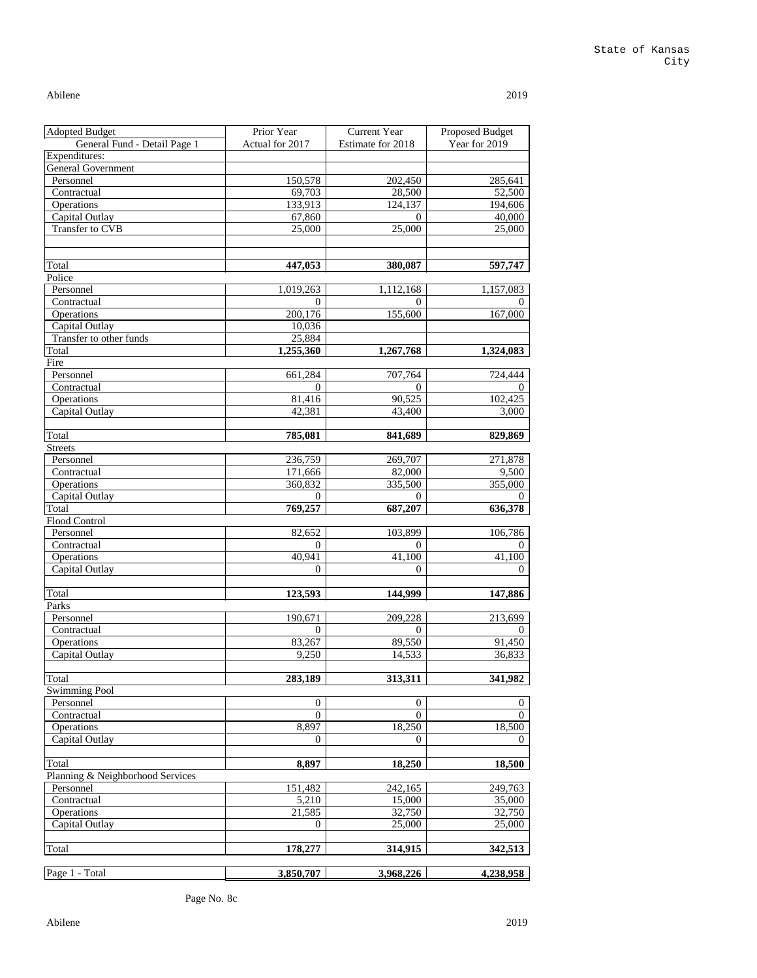#### State of Kansas City

Abilene 2019

| <b>Adopted Budget</b>            | Prior Year       | <b>Current Year</b> | Proposed Budget |
|----------------------------------|------------------|---------------------|-----------------|
| General Fund - Detail Page 1     | Actual for 2017  | Estimate for 2018   | Year for 2019   |
| Expenditures:                    |                  |                     |                 |
| <b>General Government</b>        |                  |                     |                 |
| Personnel                        | 150,578          | 202,450             | 285,641         |
| Contractual                      | 69,703           | 28,500              | 52,500          |
| Operations                       | 133,913          | 124,137             | 194,606         |
| Capital Outlay                   | 67,860           | $\overline{0}$      | 40,000          |
| Transfer to CVB                  | 25,000           | 25,000              | 25,000          |
|                                  |                  |                     |                 |
|                                  |                  |                     |                 |
| Total                            | 447,053          | 380,087             | 597,747         |
| Police                           |                  |                     |                 |
| Personnel                        | 1,019,263        | 1,112,168           | 1,157,083       |
| Contractual                      | $\overline{0}$   | 0                   | 0               |
| Operations                       | 200,176          | 155,600             | 167,000         |
| Capital Outlay                   | 10,036           |                     |                 |
| Transfer to other funds          | 25,884           |                     |                 |
| Total                            | 1,255,360        | 1,267,768           | 1,324,083       |
| Fire                             |                  |                     |                 |
| Personnel                        | 661,284          | 707,764             | 724,444         |
| Contractual                      | 0                | $\overline{0}$      |                 |
| Operations                       | 81,416           | 90,525              | 102,425         |
| Capital Outlay                   | 42,381           | 43,400              | 3,000           |
|                                  |                  |                     |                 |
| Total                            | 785,081          | 841,689             | 829,869         |
| <b>Streets</b>                   |                  |                     |                 |
| Personnel                        | 236,759          | 269,707             | 271,878         |
| Contractual                      | 171,666          | 82,000              | 9,500           |
| Operations                       | 360,832          | 335,500             | 355,000         |
| Capital Outlay                   | $\overline{0}$   | 0                   | 0               |
| Total                            | 769,257          | 687,207             | 636,378         |
| Flood Control<br>Personnel       | 82,652           | 103,899             | 106,786         |
| Contractual                      | 0                | $\overline{0}$      | 0               |
| Operations                       | 40,941           | 41,100              | 41,100          |
| Capital Outlay                   | $\boldsymbol{0}$ | $\theta$            | $\overline{0}$  |
|                                  |                  |                     |                 |
| Total                            | 123,593          | 144,999             | 147,886         |
| Parks                            |                  |                     |                 |
| Personnel                        | 190,671          | 209,228             | 213,699         |
| Contractual                      | $\overline{0}$   | $\overline{0}$      | 0               |
| Operations                       | 83,267           | 89,550              | 91,450          |
| Capital Outlay                   | 9,250            | 14,533              | 36,833          |
|                                  |                  |                     |                 |
| Total                            | 283,189          | 313,311             | 341,982         |
| <b>Swimming Pool</b>             |                  |                     |                 |
| Personnel                        | 0                | $\boldsymbol{0}$    | $\theta$        |
| Contractual                      | $\overline{0}$   | $\theta$            | $\theta$        |
| Operations                       | 8,897            | 18,250              | 18,500          |
| Capital Outlay                   | $\boldsymbol{0}$ | $\overline{0}$      | $\overline{0}$  |
|                                  |                  |                     |                 |
| Total                            | 8,897            | 18,250              | 18,500          |
| Planning & Neighborhood Services |                  |                     |                 |
| Personnel                        | 151,482          | 242,165             | 249,763         |
| Contractual                      | 5,210            | 15,000              | 35,000          |
| Operations                       | 21,585           | 32,750              | 32,750          |
| Capital Outlay                   | 0                | 25,000              | 25,000          |
|                                  |                  |                     |                 |
| Total                            | 178,277          | 314,915             | 342,513         |
|                                  |                  |                     |                 |
| Page 1 - Total                   | 3,850,707        | 3,968,226           | 4,238,958       |

Page No. 8c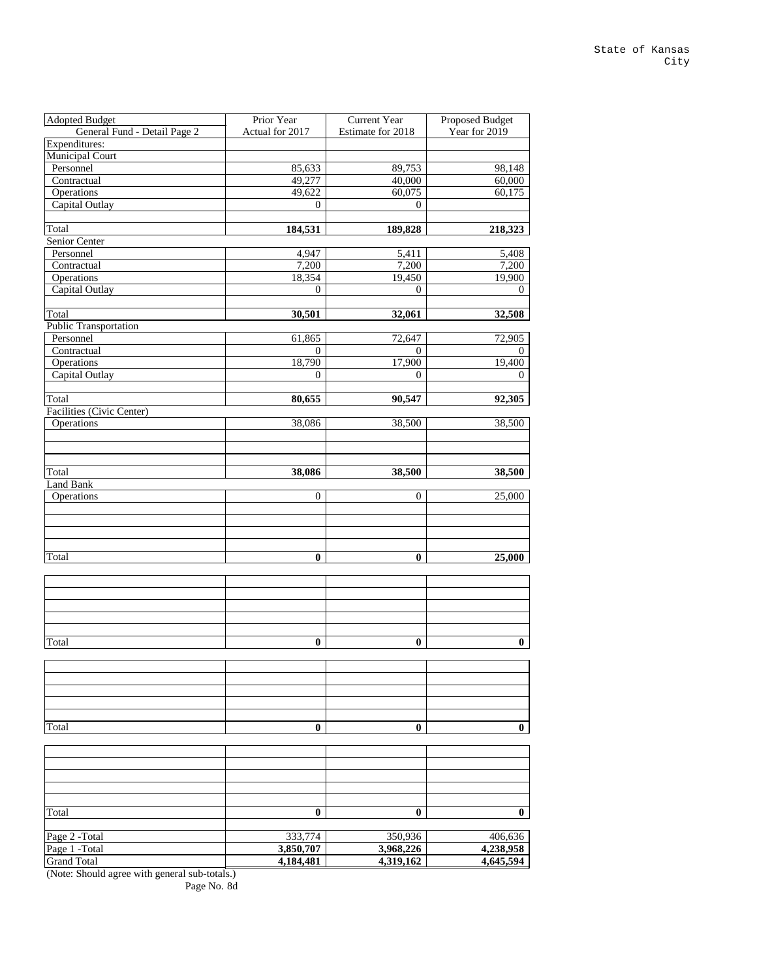| <b>Adopted Budget</b>        | Prior Year       | <b>Current Year</b> | Proposed Budget  |
|------------------------------|------------------|---------------------|------------------|
| General Fund - Detail Page 2 | Actual for 2017  | Estimate for 2018   | Year for 2019    |
| Expenditures:                |                  |                     |                  |
| <b>Municipal Court</b>       |                  |                     |                  |
| Personnel                    | 85,633           | 89,753              | 98,148           |
| Contractual                  | 49,277           | 40,000              | 60,000           |
| Operations                   | 49,622           | 60,075              | 60,175           |
| Capital Outlay               | $\boldsymbol{0}$ | $\boldsymbol{0}$    |                  |
|                              |                  |                     |                  |
| Total                        | 184,531          | 189,828             | 218,323          |
| Senior Center                |                  |                     |                  |
| Personnel                    | 4,947            | 5,411               | 5,408            |
| Contractual                  | 7,200            | 7,200               | 7,200            |
| Operations                   | 18,354           | 19,450              | 19,900           |
| Capital Outlay               | $\boldsymbol{0}$ | $\overline{0}$      | $\overline{0}$   |
|                              |                  |                     |                  |
| Total                        | 30,501           | 32,061              | 32,508           |
| Public Transportation        |                  |                     |                  |
| Personnel                    | 61,865           | 72,647              | 72,905           |
| Contractual                  | $\overline{0}$   | $\boldsymbol{0}$    | $\Omega$         |
| Operations                   | 18,790           | 17,900              | 19,400           |
| Capital Outlay               | $\overline{0}$   | $\overline{0}$      | $\theta$         |
|                              |                  |                     |                  |
| Total                        | 80,655           | 90,547              | 92,305           |
| Facilities (Civic Center)    |                  |                     |                  |
| Operations                   | 38,086           | 38,500              | 38,500           |
|                              |                  |                     |                  |
|                              |                  |                     |                  |
| Total                        | 38,086           | 38,500              |                  |
| <b>Land Bank</b>             |                  |                     | 38,500           |
| Operations                   | $\boldsymbol{0}$ | $\boldsymbol{0}$    | 25,000           |
|                              |                  |                     |                  |
|                              |                  |                     |                  |
|                              |                  |                     |                  |
|                              |                  |                     |                  |
| Total                        | $\boldsymbol{0}$ | $\boldsymbol{0}$    | 25,000           |
|                              |                  |                     |                  |
|                              |                  |                     |                  |
|                              |                  |                     |                  |
|                              |                  |                     |                  |
|                              |                  |                     |                  |
|                              |                  |                     |                  |
| Total                        | 0                | $\boldsymbol{0}$    | $\boldsymbol{0}$ |
|                              |                  |                     |                  |
|                              |                  |                     |                  |
|                              |                  |                     |                  |
|                              |                  |                     |                  |
|                              |                  |                     |                  |
|                              |                  |                     |                  |
| Total                        | $\boldsymbol{0}$ | $\boldsymbol{0}$    | $\bf{0}$         |
|                              |                  |                     |                  |
|                              |                  |                     |                  |
|                              |                  |                     |                  |
|                              |                  |                     |                  |
|                              |                  |                     |                  |
|                              |                  |                     |                  |
| Total                        | $\bf{0}$         | $\boldsymbol{0}$    | $\boldsymbol{0}$ |
|                              |                  |                     |                  |
| Page 2 - Total               | 333,774          | 350,936             | 406,636          |
| Page 1 -Total                | 3,850,707        | 3,968,226           | 4,238,958        |
| <b>Grand Total</b>           | 4,184,481        | 4,319,162           | 4,645,594        |

(Note: Should agree with general sub-totals.)

Page No. 8d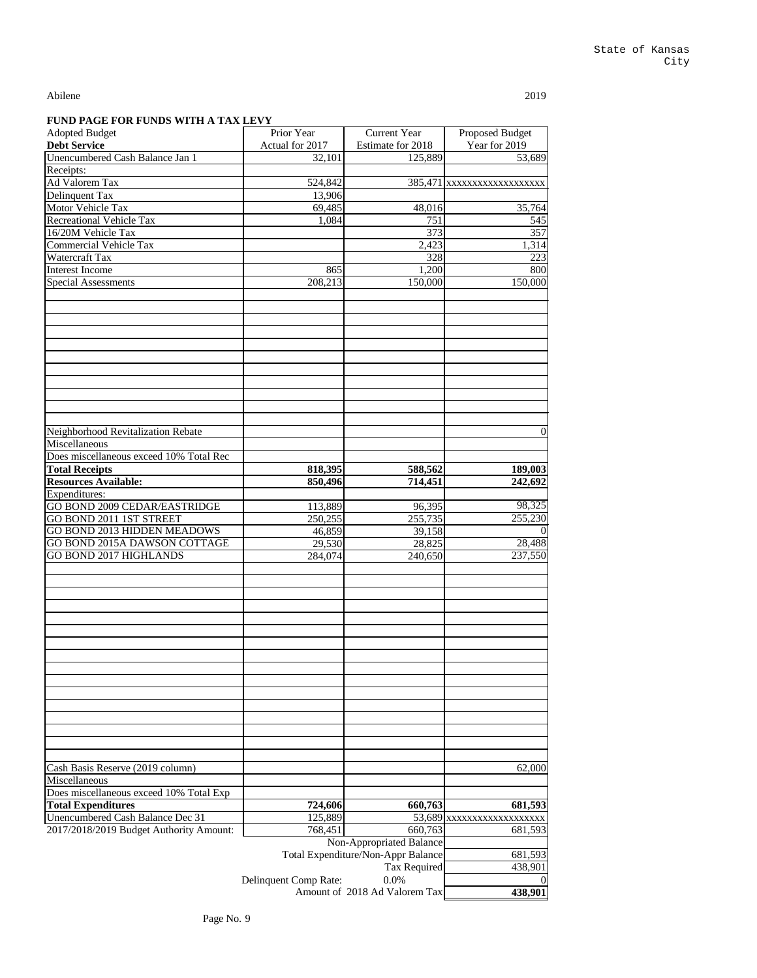| <b>Adopted Budget</b>                                         | Prior Year            | <b>Current Year</b>                | Proposed Budget             |
|---------------------------------------------------------------|-----------------------|------------------------------------|-----------------------------|
| <b>Debt Service</b>                                           | Actual for 2017       | Estimate for 2018                  | Year for 2019               |
| Unencumbered Cash Balance Jan 1                               | 32,101                | 125,889                            | 53,689                      |
| Receipts:                                                     |                       |                                    |                             |
| Ad Valorem Tax                                                | 524,842               |                                    | 385,471 xxxxxxxxxxxxxxxxxxx |
| Delinquent Tax                                                | 13,906                |                                    |                             |
| Motor Vehicle Tax                                             | 69,485                | 48,016                             | 35,764                      |
| <b>Recreational Vehicle Tax</b>                               | 1,084                 | 751                                | 545                         |
| 16/20M Vehicle Tax                                            |                       | 373                                | 357                         |
| <b>Commercial Vehicle Tax</b>                                 |                       | 2,423                              | 1,314                       |
| Watercraft Tax                                                |                       | 328                                | 223                         |
| <b>Interest Income</b>                                        | 865                   | 1,200                              | 800                         |
| <b>Special Assessments</b>                                    | 208,213               | 150,000                            | 150,000                     |
|                                                               |                       |                                    |                             |
|                                                               |                       |                                    |                             |
|                                                               |                       |                                    |                             |
|                                                               |                       |                                    |                             |
|                                                               |                       |                                    |                             |
|                                                               |                       |                                    |                             |
|                                                               |                       |                                    |                             |
|                                                               |                       |                                    |                             |
|                                                               |                       |                                    |                             |
|                                                               |                       |                                    |                             |
|                                                               |                       |                                    |                             |
| Neighborhood Revitalization Rebate                            |                       |                                    | $\boldsymbol{0}$            |
| Miscellaneous                                                 |                       |                                    |                             |
| Does miscellaneous exceed 10% Total Rec                       |                       |                                    |                             |
| <b>Total Receipts</b>                                         | 818,395               | 588,562                            | 189,003                     |
| <b>Resources Available:</b>                                   | 850,496               | 714,451                            | 242,692                     |
| Expenditures:                                                 |                       |                                    |                             |
| GO BOND 2009 CEDAR/EASTRIDGE                                  | 113,889               |                                    | 98,325                      |
|                                                               |                       | 96,395                             | 255,230                     |
| GO BOND 2011 1ST STREET<br><b>GO BOND 2013 HIDDEN MEADOWS</b> | 250,255               | 255,735                            | $\boldsymbol{0}$            |
|                                                               | 46,859                | 39,158                             |                             |
| GO BOND 2015A DAWSON COTTAGE<br><b>GO BOND 2017 HIGHLANDS</b> | 29,530                | 28,825                             | 28,488<br>237,550           |
|                                                               | 284,074               | 240,650                            |                             |
|                                                               |                       |                                    |                             |
|                                                               |                       |                                    |                             |
|                                                               |                       |                                    |                             |
|                                                               |                       |                                    |                             |
|                                                               |                       |                                    |                             |
|                                                               |                       |                                    |                             |
|                                                               |                       |                                    |                             |
|                                                               |                       |                                    |                             |
|                                                               |                       |                                    |                             |
|                                                               |                       |                                    |                             |
|                                                               |                       |                                    |                             |
|                                                               |                       |                                    |                             |
|                                                               |                       |                                    |                             |
|                                                               |                       |                                    |                             |
|                                                               |                       |                                    |                             |
|                                                               |                       |                                    |                             |
| Cash Basis Reserve (2019 column)                              |                       |                                    | 62,000                      |
| Miscellaneous                                                 |                       |                                    |                             |
| Does miscellaneous exceed 10% Total Exp                       |                       |                                    |                             |
| <b>Total Expenditures</b>                                     | 724,606               | 660,763                            | 681,593                     |
| Unencumbered Cash Balance Dec 31                              | 125,889               |                                    | 53,689 xxxxxxxxxxxxxxxxxxx  |
| 2017/2018/2019 Budget Authority Amount:                       | 768,451               | 660,763                            | 681,593                     |
|                                                               |                       | Non-Appropriated Balance           |                             |
|                                                               |                       | Total Expenditure/Non-Appr Balance | 681,593                     |
|                                                               |                       | <b>Tax Required</b>                | 438,901                     |
|                                                               | Delinquent Comp Rate: | 0.0%                               | $\boldsymbol{0}$            |
|                                                               |                       | Amount of 2018 Ad Valorem Tax      | 438,901                     |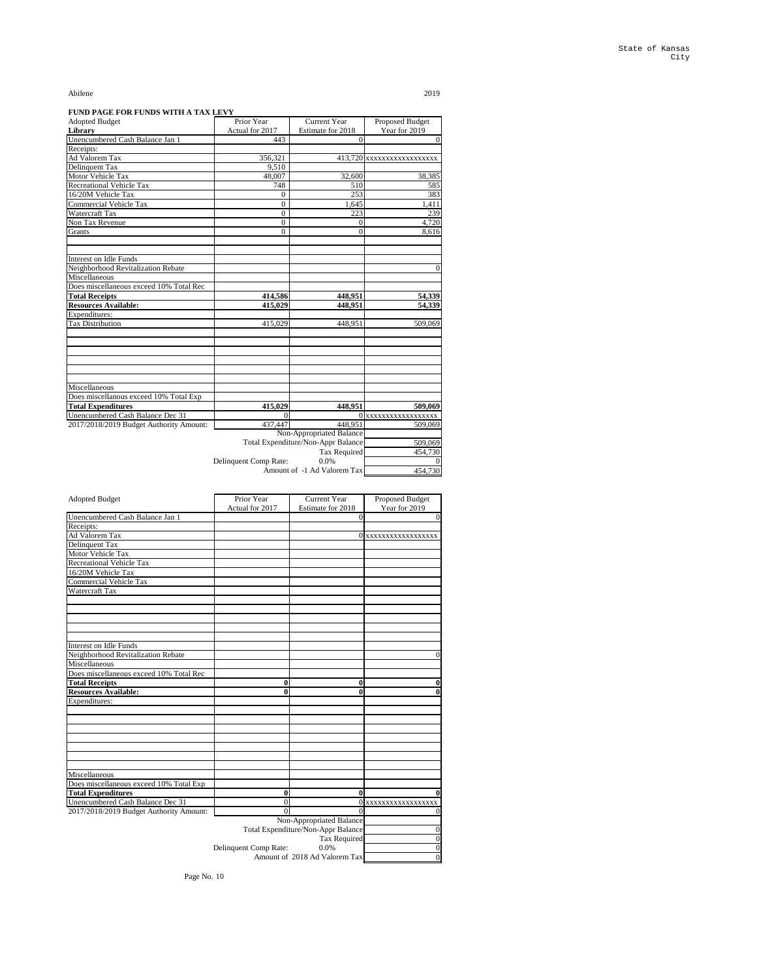#### **FUND PAGE FOR FUNDS WITH A TAX LEVY**

| <b>Adopted Budget</b>                   | Prior Year            | <b>Current Year</b>                | <b>Proposed Budget</b>   |
|-----------------------------------------|-----------------------|------------------------------------|--------------------------|
| Library                                 | Actual for 2017       | Estimate for 2018                  | Year for 2019            |
| Unencumbered Cash Balance Jan 1         | 443                   | $\overline{0}$                     | $\vert 0 \vert$          |
| Receipts:                               |                       |                                    |                          |
| Ad Valorem Tax                          | 356,321               |                                    | 413,720 XXXXXXXXXXXXXXXX |
| Delinquent Tax                          | 9,510                 |                                    |                          |
| <b>Motor Vehicle Tax</b>                | 48,007                | 32,600                             | 38,385                   |
| <b>Recreational Vehicle Tax</b>         | 748                   | 510                                | 585                      |
| 16/20M Vehicle Tax                      | $\boldsymbol{0}$      | 253                                | 383                      |
| <b>Commercial Vehicle Tax</b>           | $\boldsymbol{0}$      | 1,645                              | 1,411                    |
| Watercraft Tax                          | $\overline{0}$        | 223                                | 239                      |
| Non Tax Revenue                         | $\overline{0}$        | 0                                  | 4,720                    |
| Grants                                  | $\overline{0}$        | $\overline{0}$                     | 8,616                    |
|                                         |                       |                                    |                          |
|                                         |                       |                                    |                          |
| Interest on Idle Funds                  |                       |                                    |                          |
| Neighborhood Revitalization Rebate      |                       |                                    | $\mathbf{0}$             |
| Miscellaneous                           |                       |                                    |                          |
| Does miscellaneous exceed 10% Total Rec |                       |                                    |                          |
| <b>Total Receipts</b>                   | 414,586               | 448,951                            | 54,339                   |
| <b>Resources Available:</b>             | 415,029               | 448,951                            | 54,339                   |
| Expenditures:                           |                       |                                    |                          |
| <b>Tax Distribution</b>                 | 415,029               | 448,951                            | 509,069                  |
|                                         |                       |                                    |                          |
|                                         |                       |                                    |                          |
|                                         |                       |                                    |                          |
|                                         |                       |                                    |                          |
|                                         |                       |                                    |                          |
|                                         |                       |                                    |                          |
| Miscellaneous                           |                       |                                    |                          |
| Does miscellanous exceed 10% Total Exp  |                       |                                    |                          |
| <b>Total Expenditures</b>               | 415,029               | 448,951                            | 509,069                  |
| Unencumbered Cash Balance Dec 31        | 0                     | 0                                  | XXXXXXXXXXXXXXXXX        |
| 2017/2018/2019 Budget Authority Amount: | 437,447               | 448,951                            | 509,069                  |
|                                         |                       | Non-Appropriated Balance           |                          |
|                                         |                       | Total Expenditure/Non-Appr Balance | 509,069                  |
|                                         |                       | Tax Required                       | 454,730                  |
|                                         | Delinquent Comp Rate: | 0.0%                               |                          |
|                                         |                       | Amount of -1 Ad Valorem Tax        | 454,730                  |

| <b>Adopted Budget</b>           | Prior Year      | <b>Current Year</b> | Proposed Budget     |
|---------------------------------|-----------------|---------------------|---------------------|
|                                 | Actual for 2017 | Estimate for 2018   | Year for 2019       |
| Unencumbered Cash Balance Jan 1 |                 |                     |                     |
| Receipts:                       |                 |                     |                     |
| Ad Valorem Tax                  |                 |                     | 0 xxxxxxxxxxxxxxxxx |
| Delinquent Tax                  |                 |                     |                     |
| <b>Motor Vehicle Tax</b>        |                 |                     |                     |
| <b>Recreational Vehicle Tax</b> |                 |                     |                     |
| 16/20M Vehicle Tax              |                 |                     |                     |
| Commercial Vehicle Tax          |                 |                     |                     |
| ____ _ _                        |                 |                     |                     |

| <b>Watercraft Tax</b>                   |                       |                                    |                   |
|-----------------------------------------|-----------------------|------------------------------------|-------------------|
|                                         |                       |                                    |                   |
|                                         |                       |                                    |                   |
|                                         |                       |                                    |                   |
|                                         |                       |                                    |                   |
|                                         |                       |                                    |                   |
| Interest on Idle Funds                  |                       |                                    |                   |
| Neighborhood Revitalization Rebate      |                       |                                    | $\overline{0}$    |
| Miscellaneous                           |                       |                                    |                   |
| Does miscellaneous exceed 10% Total Rec |                       |                                    |                   |
| <b>Total Receipts</b>                   | $\boldsymbol{0}$      | $\boldsymbol{0}$                   | $\boldsymbol{0}$  |
| <b>Resources Available:</b>             | 0                     | 0                                  | $\boldsymbol{0}$  |
| Expenditures:                           |                       |                                    |                   |
|                                         |                       |                                    |                   |
|                                         |                       |                                    |                   |
|                                         |                       |                                    |                   |
|                                         |                       |                                    |                   |
|                                         |                       |                                    |                   |
|                                         |                       |                                    |                   |
|                                         |                       |                                    |                   |
| Miscellaneous                           |                       |                                    |                   |
| Does miscellaneous exceed 10% Total Exp |                       |                                    |                   |
| <b>Total Expenditures</b>               | $\boldsymbol{0}$      | $\boldsymbol{0}$                   | $\boldsymbol{0}$  |
| Unencumbered Cash Balance Dec 31        | $\overline{0}$        |                                    | XXXXXXXXXXXXXXXXX |
| 2017/2018/2019 Budget Authority Amount: | $\overline{0}$        |                                    | $\boldsymbol{0}$  |
|                                         |                       | Non-Appropriated Balance           |                   |
|                                         |                       | Total Expenditure/Non-Appr Balance | $\overline{0}$    |
|                                         |                       | <b>Tax Required</b>                | $\boldsymbol{0}$  |
|                                         | Delinquent Comp Rate: | 0.0%                               | $\boldsymbol{0}$  |
|                                         |                       | Amount of 2018 Ad Valorem Tax      | $\overline{0}$    |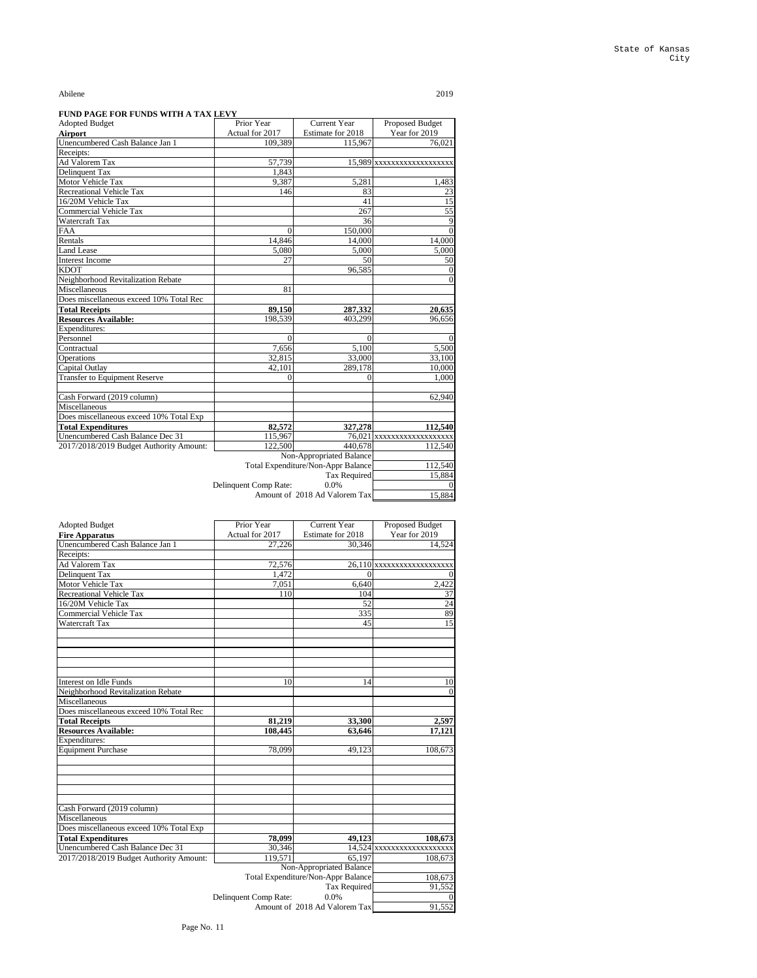#### **FUND PAGE FOR FUNDS WITH A TAX LEVY**

| <b>Adopted Budget</b>                   | Prior Year            | <b>Current Year</b>                | Proposed Budget            |
|-----------------------------------------|-----------------------|------------------------------------|----------------------------|
| <b>Airport</b>                          | Actual for 2017       | Estimate for 2018                  | Year for 2019              |
| Unencumbered Cash Balance Jan 1         | 109,389               | 115,967                            | 76,021                     |
| Receipts:                               |                       |                                    |                            |
| Ad Valorem Tax                          | 57,739                |                                    |                            |
| <b>Delinquent Tax</b>                   | 1,843                 |                                    |                            |
| Motor Vehicle Tax                       | 9,387                 | 5,281                              | 1,483                      |
| <b>Recreational Vehicle Tax</b>         | 146                   | 83                                 | 23                         |
| 16/20M Vehicle Tax                      |                       | 41                                 | 15                         |
| Commercial Vehicle Tax                  |                       | 267                                | $\overline{55}$            |
| Watercraft Tax                          |                       | 36                                 | 9                          |
| <b>FAA</b>                              | $\overline{0}$        | 150,000                            |                            |
| Rentals                                 | 14,846                | 14,000                             | 14,000                     |
| <b>Land Lease</b>                       | 5,080                 | 5,000                              | 5,000                      |
| <b>Interest Income</b>                  | 27                    | 50                                 | 50                         |
| <b>KDOT</b>                             |                       | 96,585                             | $\overline{0}$             |
| Neighborhood Revitalization Rebate      |                       |                                    | 0                          |
| Miscellaneous                           | 81                    |                                    |                            |
| Does miscellaneous exceed 10% Total Rec |                       |                                    |                            |
| <b>Total Receipts</b>                   | 89,150                | 287,332                            | 20,635                     |
| <b>Resources Available:</b>             | 198,539               | 403,299                            | 96,656                     |
| Expenditures:                           |                       |                                    |                            |
| Personnel                               | $\overline{0}$        | $\overline{0}$                     | $\Omega$                   |
| Contractual                             | 7,656                 | 5,100                              | 5,500                      |
| Operations                              | 32,815                | 33,000                             | 33,100                     |
| Capital Outlay                          | 42,101                | 289,178                            | 10,000                     |
| <b>Transfer to Equipment Reserve</b>    | $\boldsymbol{0}$      | $\overline{0}$                     | 1,000                      |
|                                         |                       |                                    |                            |
| Cash Forward (2019 column)              |                       |                                    | 62,940                     |
| Miscellaneous                           |                       |                                    |                            |
| Does miscellaneous exceed 10% Total Exp |                       |                                    |                            |
| <b>Total Expenditures</b>               | 82,572                | 327,278                            | 112,540                    |
| Unencumbered Cash Balance Dec 31        | 115,967               |                                    | 76,021 xxxxxxxxxxxxxxxxxxx |
| 2017/2018/2019 Budget Authority Amount: | 122,500               | 440,678                            | 112,540                    |
|                                         |                       | <b>Non-Appropriated Balance</b>    |                            |
|                                         |                       | Total Expenditure/Non-Appr Balance | 112,540                    |
|                                         |                       | <b>Tax Required</b>                | 15,884                     |
|                                         | Delinquent Comp Rate: | 0.0%                               |                            |
|                                         |                       | Amount of 2018 Ad Valorem Tax      | 15,884                     |

| <b>Adopted Budget</b>           | Prior Year      | <b>Current Year</b> | Proposed Budget             |
|---------------------------------|-----------------|---------------------|-----------------------------|
| <b>Fire Apparatus</b>           | Actual for 2017 | Estimate for 2018   | Year for 2019               |
| Unencumbered Cash Balance Jan 1 | 27,226          | 30,346              | 14,524                      |
| Receipts:                       |                 |                     |                             |
| Ad Valorem Tax                  | 72,576          |                     | $26,110$ XXXXXXXXXXXXXXXXXX |
| Delinquent Tax                  | 1,472           |                     |                             |
| <b>Motor Vehicle Tax</b>        | 7,051           | 6,640               | 2,422                       |
| <b>Recreational Vehicle Tax</b> | 110             | 104                 | 37                          |
| 16/20M Vehicle Tax              |                 | 52                  | 24                          |
| Commercial Vehicle Tax          |                 | 335                 | 89                          |
| <b>Watercraft Tax</b>           |                 | 45                  | 15                          |
|                                 |                 |                     |                             |

| <b>Interest on Idle Funds</b><br>10<br>14<br>10<br>Neighborhood Revitalization Rebate<br>Miscellaneous<br>Does miscellaneous exceed 10% Total Rec<br><b>Total Receipts</b><br>33,300<br>81,219<br><b>Resources Available:</b><br>108,445<br>63,646<br>Expenditures:<br><b>Equipment Purchase</b><br>78,099<br>49,123<br>Cash Forward (2019 column)<br>Miscellaneous<br>Does miscellaneous exceed 10% Total Exp<br>49,123<br>78,099<br><b>Total Expenditures</b><br><b>Unencumbered Cash Balance Dec 31</b><br>30,346<br>119,571<br>2017/2018/2019 Budget Authority Amount:<br>65,197<br>Non-Appropriated Balance |  |         |
|------------------------------------------------------------------------------------------------------------------------------------------------------------------------------------------------------------------------------------------------------------------------------------------------------------------------------------------------------------------------------------------------------------------------------------------------------------------------------------------------------------------------------------------------------------------------------------------------------------------|--|---------|
|                                                                                                                                                                                                                                                                                                                                                                                                                                                                                                                                                                                                                  |  |         |
|                                                                                                                                                                                                                                                                                                                                                                                                                                                                                                                                                                                                                  |  |         |
|                                                                                                                                                                                                                                                                                                                                                                                                                                                                                                                                                                                                                  |  |         |
|                                                                                                                                                                                                                                                                                                                                                                                                                                                                                                                                                                                                                  |  |         |
|                                                                                                                                                                                                                                                                                                                                                                                                                                                                                                                                                                                                                  |  |         |
|                                                                                                                                                                                                                                                                                                                                                                                                                                                                                                                                                                                                                  |  |         |
|                                                                                                                                                                                                                                                                                                                                                                                                                                                                                                                                                                                                                  |  |         |
|                                                                                                                                                                                                                                                                                                                                                                                                                                                                                                                                                                                                                  |  |         |
|                                                                                                                                                                                                                                                                                                                                                                                                                                                                                                                                                                                                                  |  | 2,597   |
|                                                                                                                                                                                                                                                                                                                                                                                                                                                                                                                                                                                                                  |  | 17,121  |
|                                                                                                                                                                                                                                                                                                                                                                                                                                                                                                                                                                                                                  |  |         |
|                                                                                                                                                                                                                                                                                                                                                                                                                                                                                                                                                                                                                  |  | 108,673 |
|                                                                                                                                                                                                                                                                                                                                                                                                                                                                                                                                                                                                                  |  |         |
|                                                                                                                                                                                                                                                                                                                                                                                                                                                                                                                                                                                                                  |  |         |
|                                                                                                                                                                                                                                                                                                                                                                                                                                                                                                                                                                                                                  |  |         |
|                                                                                                                                                                                                                                                                                                                                                                                                                                                                                                                                                                                                                  |  |         |
|                                                                                                                                                                                                                                                                                                                                                                                                                                                                                                                                                                                                                  |  |         |
|                                                                                                                                                                                                                                                                                                                                                                                                                                                                                                                                                                                                                  |  |         |
|                                                                                                                                                                                                                                                                                                                                                                                                                                                                                                                                                                                                                  |  |         |
|                                                                                                                                                                                                                                                                                                                                                                                                                                                                                                                                                                                                                  |  |         |
|                                                                                                                                                                                                                                                                                                                                                                                                                                                                                                                                                                                                                  |  | 108,673 |
|                                                                                                                                                                                                                                                                                                                                                                                                                                                                                                                                                                                                                  |  |         |
|                                                                                                                                                                                                                                                                                                                                                                                                                                                                                                                                                                                                                  |  | 108,673 |
|                                                                                                                                                                                                                                                                                                                                                                                                                                                                                                                                                                                                                  |  |         |
| Total Expenditure/Non-Appr Balance                                                                                                                                                                                                                                                                                                                                                                                                                                                                                                                                                                               |  | 108,673 |
| Tax Required                                                                                                                                                                                                                                                                                                                                                                                                                                                                                                                                                                                                     |  | 91,552  |
| 0.0%<br>Delinquent Comp Rate:                                                                                                                                                                                                                                                                                                                                                                                                                                                                                                                                                                                    |  |         |
| Amount of 2018 Ad Valorem Tax                                                                                                                                                                                                                                                                                                                                                                                                                                                                                                                                                                                    |  | 91,552  |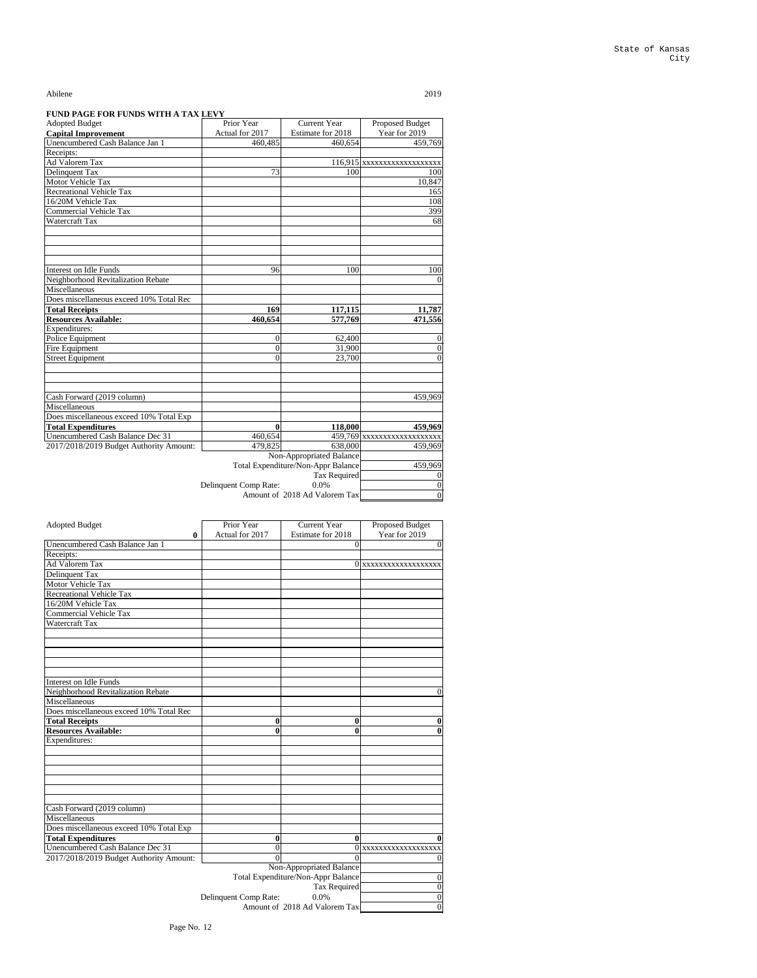| <b>Adopted Budget</b>                   | Prior Year            | <b>Current Year</b>                       | Proposed Budget              |
|-----------------------------------------|-----------------------|-------------------------------------------|------------------------------|
| <b>Capital Improvement</b>              | Actual for 2017       | Estimate for 2018                         | Year for 2019                |
| Unencumbered Cash Balance Jan 1         | 460,485               | 460,654                                   | 459,769                      |
| Receipts:                               |                       |                                           |                              |
| Ad Valorem Tax                          |                       |                                           | $116,915$ XXXXXXXXXXXXXXXXXX |
| Delinquent Tax                          | 73                    | 100                                       | 100                          |
| Motor Vehicle Tax                       |                       |                                           | 10,847                       |
| <b>Recreational Vehicle Tax</b>         |                       |                                           | 165                          |
| 16/20M Vehicle Tax                      |                       |                                           | 108                          |
| <b>Commercial Vehicle Tax</b>           |                       |                                           | 399                          |
| Watercraft Tax                          |                       |                                           | 68                           |
|                                         |                       |                                           |                              |
|                                         |                       |                                           |                              |
| <b>Interest on Idle Funds</b>           | 96                    | 100                                       | 100                          |
| Neighborhood Revitalization Rebate      |                       |                                           | $\overline{0}$               |
| Miscellaneous                           |                       |                                           |                              |
| Does miscellaneous exceed 10% Total Rec |                       |                                           |                              |
| <b>Total Receipts</b>                   | 169                   | 117,115                                   | 11,787                       |
| <b>Resources Available:</b>             | 460,654               | 577,769                                   | 471,556                      |
| Expenditures:                           |                       |                                           |                              |
| Police Equipment                        | $\overline{0}$        | 62,400                                    | $\boldsymbol{0}$             |
| Fire Equipment                          | $\boldsymbol{0}$      | 31,900                                    | $\boldsymbol{0}$             |
| <b>Street Equipment</b>                 | $\overline{0}$        | 23,700                                    | $\overline{0}$               |
|                                         |                       |                                           |                              |
| Cash Forward (2019 column)              |                       |                                           | 459,969                      |
| Miscellaneous                           |                       |                                           |                              |
| Does miscellaneous exceed 10% Total Exp |                       |                                           |                              |
| <b>Total Expenditures</b>               | $\boldsymbol{0}$      | 118,000                                   | 459,969                      |
| Unencumbered Cash Balance Dec 31        | 460,654               |                                           | 459,769 xxxxxxxxxxxxxxxxxxx  |
| 2017/2018/2019 Budget Authority Amount: | 479,825               | 638,000                                   | 459,969                      |
|                                         |                       | Non-Appropriated Balance                  |                              |
|                                         |                       | <b>Total Expenditure/Non-Appr Balance</b> | 459,969                      |
|                                         |                       | <b>Tax Required</b>                       | $\overline{0}$               |
|                                         | Delinquent Comp Rate: | 0.0%                                      | $\boldsymbol{0}$             |
|                                         |                       | Amount of 2018 Ad Valorem Tax             | $\boldsymbol{0}$             |

| <b>Adopted Budget</b>           |   | Prior Year      | <b>Current Year</b> | <b>Proposed Budget</b>  |
|---------------------------------|---|-----------------|---------------------|-------------------------|
|                                 | 0 | Actual for 2017 | Estimate for 2018   | Year for 2019           |
| Unencumbered Cash Balance Jan 1 |   |                 |                     |                         |
| Receipts:                       |   |                 |                     |                         |
| Ad Valorem Tax                  |   |                 |                     | 0   xxxxxxxxxxxxxxxxxxx |
| Delinquent Tax                  |   |                 |                     |                         |
| <b>Motor Vehicle Tax</b>        |   |                 |                     |                         |
| <b>Recreational Vehicle Tax</b> |   |                 |                     |                         |
| 16/20M Vehicle Tax              |   |                 |                     |                         |
| <b>Commercial Vehicle Tax</b>   |   |                 |                     |                         |
| Watercraft Tax                  |   |                 |                     |                         |
|                                 |   |                 |                     |                         |

| <b>Interest on Idle Funds</b>           |                       |                                    |                    |
|-----------------------------------------|-----------------------|------------------------------------|--------------------|
| Neighborhood Revitalization Rebate      |                       |                                    |                    |
| Miscellaneous                           |                       |                                    |                    |
| Does miscellaneous exceed 10% Total Rec |                       |                                    |                    |
| <b>Total Receipts</b>                   | 0                     | $\boldsymbol{0}$                   |                    |
| <b>Resources Available:</b>             | 0                     | 0                                  |                    |
| Expenditures:                           |                       |                                    |                    |
|                                         |                       |                                    |                    |
|                                         |                       |                                    |                    |
|                                         |                       |                                    |                    |
|                                         |                       |                                    |                    |
|                                         |                       |                                    |                    |
|                                         |                       |                                    |                    |
| Cash Forward (2019 column)              |                       |                                    |                    |
| Miscellaneous                           |                       |                                    |                    |
| Does miscellaneous exceed 10% Total Exp |                       |                                    |                    |
| <b>Total Expenditures</b>               | 0                     | 0                                  |                    |
| Unencumbered Cash Balance Dec 31        | 0                     | 0                                  | XXXXXXXXXXXXXXXXXX |
| 2017/2018/2019 Budget Authority Amount: | $\Omega$              | $\theta$                           |                    |
|                                         |                       | Non-Appropriated Balance           |                    |
|                                         |                       | Total Expenditure/Non-Appr Balance |                    |
|                                         |                       | <b>Tax Required</b>                |                    |
|                                         | Delinquent Comp Rate: | 0.0%                               |                    |
|                                         |                       |                                    |                    |
|                                         |                       | Amount of 2018 Ad Valorem Tax      | 0                  |

Page No. 12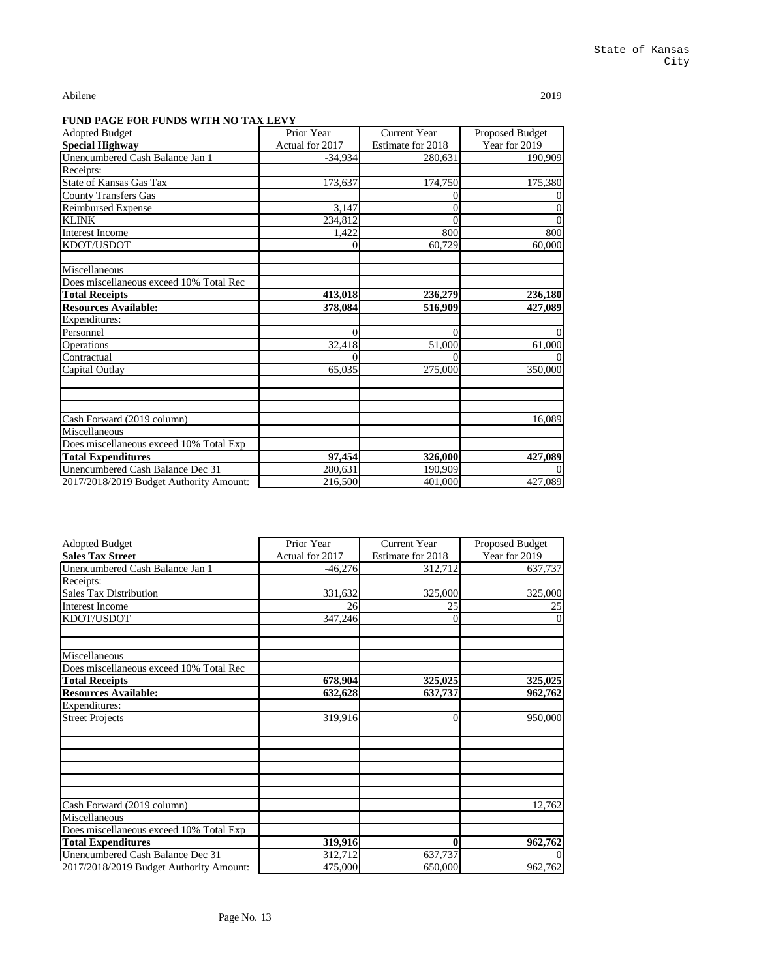| <b>Adopted Budget</b>                   | Prior Year      | <b>Current Year</b> | <b>Proposed Budget</b> |
|-----------------------------------------|-----------------|---------------------|------------------------|
| <b>Special Highway</b>                  | Actual for 2017 | Estimate for 2018   | Year for 2019          |
| Unencumbered Cash Balance Jan 1         | $-34,934$       | 280,631             | 190,909                |
| Receipts:                               |                 |                     |                        |
| <b>State of Kansas Gas Tax</b>          | 173,637         | 174,750             | 175,380                |
| <b>County Transfers Gas</b>             |                 | $\theta$            |                        |
| <b>Reimbursed Expense</b>               | 3,147           | $\overline{0}$      |                        |
| <b>KLINK</b>                            | 234,812         | $\overline{0}$      |                        |
| <b>Interest Income</b>                  | 1,422           | 800                 | 800                    |
| KDOT/USDOT                              | 0               | 60,729              | 60,000                 |
| Miscellaneous                           |                 |                     |                        |
| Does miscellaneous exceed 10% Total Rec |                 |                     |                        |
| <b>Total Receipts</b>                   | 413,018         | 236,279             | 236,180                |
| <b>Resources Available:</b>             | 378,084         | 516,909             | 427,089                |
| Expenditures:                           |                 |                     |                        |
| Personnel                               | $\theta$        | $\overline{0}$      |                        |
| Operations                              | 32,418          | 51,000              | 61,000                 |
| Contractual                             | 0               |                     |                        |
| Capital Outlay                          | 65,035          | 275,000             | 350,000                |
|                                         |                 |                     |                        |
| Cash Forward (2019 column)              |                 |                     | 16,089                 |
| Miscellaneous                           |                 |                     |                        |
| Does miscellaneous exceed 10% Total Exp |                 |                     |                        |
| <b>Total Expenditures</b>               | 97,454          | 326,000             | 427,089                |
| Unencumbered Cash Balance Dec 31        | 280,631         | 190,909             |                        |
| 2017/2018/2019 Budget Authority Amount: | 216,500         | 401,000             | 427,089                |

| <b>Adopted Budget</b>                   | Prior Year      | <b>Current Year</b> | Proposed Budget |
|-----------------------------------------|-----------------|---------------------|-----------------|
| <b>Sales Tax Street</b>                 | Actual for 2017 | Estimate for 2018   | Year for 2019   |
| Unencumbered Cash Balance Jan 1         | $-46,276$       | 312,712             | 637,737         |
| Receipts:                               |                 |                     |                 |
| <b>Sales Tax Distribution</b>           | 331,632         | 325,000             | 325,000         |
| <b>Interest Income</b>                  | 26              | 25                  | 25              |
| KDOT/USDOT                              | 347,246         | 0                   |                 |
|                                         |                 |                     |                 |
| Miscellaneous                           |                 |                     |                 |
| Does miscellaneous exceed 10% Total Rec |                 |                     |                 |
| <b>Total Receipts</b>                   | 678,904         | 325,025             | 325,025         |
| <b>Resources Available:</b>             | 632,628         | 637,737             | 962,762         |
| Expenditures:                           |                 |                     |                 |
| <b>Street Projects</b>                  | 319,916         | $\boldsymbol{0}$    | 950,000         |
|                                         |                 |                     |                 |
|                                         |                 |                     |                 |
|                                         |                 |                     |                 |
| Cash Forward (2019 column)              |                 |                     | 12,762          |
| Miscellaneous                           |                 |                     |                 |
| Does miscellaneous exceed 10% Total Exp |                 |                     |                 |
| <b>Total Expenditures</b>               | 319,916         | $\bf{0}$            | 962,762         |
| Unencumbered Cash Balance Dec 31        | 312,712         | 637,737             |                 |
| 2017/2018/2019 Budget Authority Amount: | 475,000         | 650,000             | 962,762         |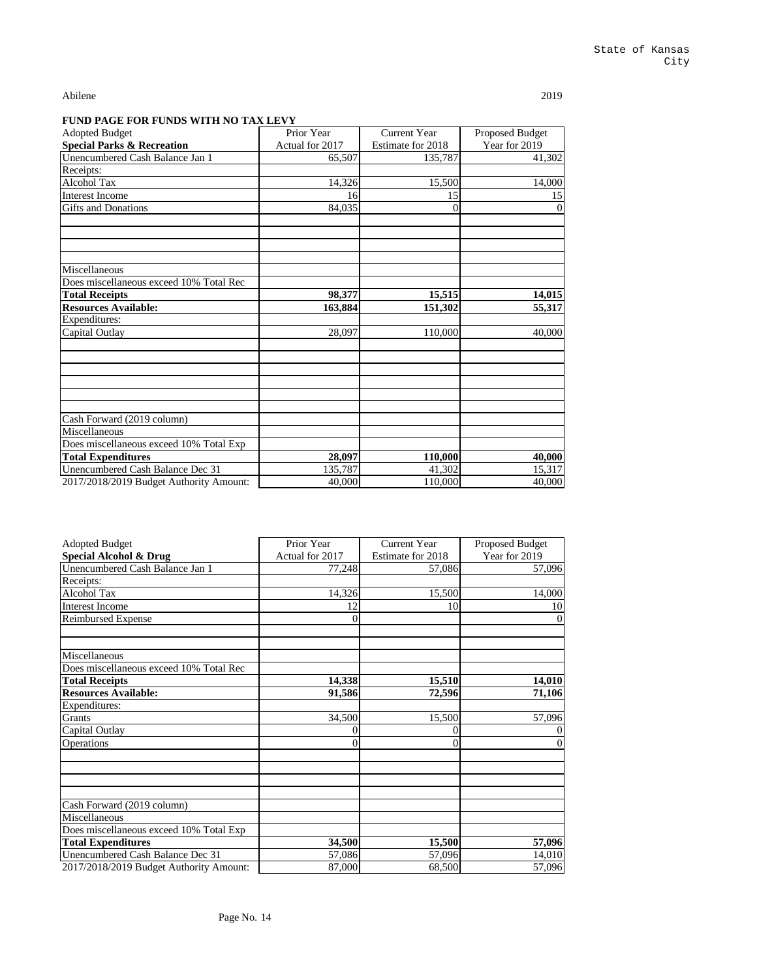| <b>Adopted Budget</b>                   | Prior Year      | <b>Current Year</b> | Proposed Budget |
|-----------------------------------------|-----------------|---------------------|-----------------|
| <b>Special Parks &amp; Recreation</b>   | Actual for 2017 | Estimate for 2018   | Year for 2019   |
| Unencumbered Cash Balance Jan 1         | 65,507          | 135,787             | 41,302          |
| Receipts:                               |                 |                     |                 |
| <b>Alcohol Tax</b>                      | 14,326          | 15,500              | 14,000          |
| Interest Income                         | 16              | 15                  | 15              |
| <b>Gifts and Donations</b>              | 84,035          | $\theta$            |                 |
|                                         |                 |                     |                 |
| Miscellaneous                           |                 |                     |                 |
| Does miscellaneous exceed 10% Total Rec |                 |                     |                 |
| <b>Total Receipts</b>                   | 98,377          | 15,515              | 14,015          |
| <b>Resources Available:</b>             | 163,884         | 151,302             | 55,317          |
| Expenditures:                           |                 |                     |                 |
| Capital Outlay                          | 28,097          | 110,000             | 40,000          |
|                                         |                 |                     |                 |
| Cash Forward (2019 column)              |                 |                     |                 |
| Miscellaneous                           |                 |                     |                 |
| Does miscellaneous exceed 10% Total Exp |                 |                     |                 |
| <b>Total Expenditures</b>               | 28,097          | 110,000             | 40,000          |
| Unencumbered Cash Balance Dec 31        | 135,787         | 41,302              | 15,317          |
| 2017/2018/2019 Budget Authority Amount: | 40,000          | 110,000             | 40,000          |

| <b>Adopted Budget</b>                   | Prior Year      | <b>Current Year</b> | Proposed Budget |
|-----------------------------------------|-----------------|---------------------|-----------------|
| <b>Special Alcohol &amp; Drug</b>       | Actual for 2017 | Estimate for 2018   | Year for 2019   |
| Unencumbered Cash Balance Jan 1         | 77,248          | 57,086              | 57,096          |
| Receipts:                               |                 |                     |                 |
| Alcohol Tax                             | 14,326          | 15,500              | 14,000          |
| <b>Interest Income</b>                  | 12              | 10                  | 10              |
| <b>Reimbursed Expense</b>               | $\overline{0}$  |                     |                 |
| Miscellaneous                           |                 |                     |                 |
| Does miscellaneous exceed 10% Total Rec |                 |                     |                 |
| <b>Total Receipts</b>                   | 14,338          | 15,510              | 14,010          |
| <b>Resources Available:</b>             | 91,586          | 72,596              | 71,106          |
| Expenditures:                           |                 |                     |                 |
| Grants                                  | 34,500          | 15,500              | 57,096          |
| Capital Outlay                          | 0               | 0                   |                 |
| Operations                              | $\overline{0}$  | $\overline{0}$      |                 |
|                                         |                 |                     |                 |
| Cash Forward (2019 column)              |                 |                     |                 |
| Miscellaneous                           |                 |                     |                 |
| Does miscellaneous exceed 10% Total Exp |                 |                     |                 |
| <b>Total Expenditures</b>               | 34,500          | 15,500              | 57,096          |
| Unencumbered Cash Balance Dec 31        | 57,086          | 57,096              | 14,010          |
| 2017/2018/2019 Budget Authority Amount: | 87,000          | 68,500              | 57,096          |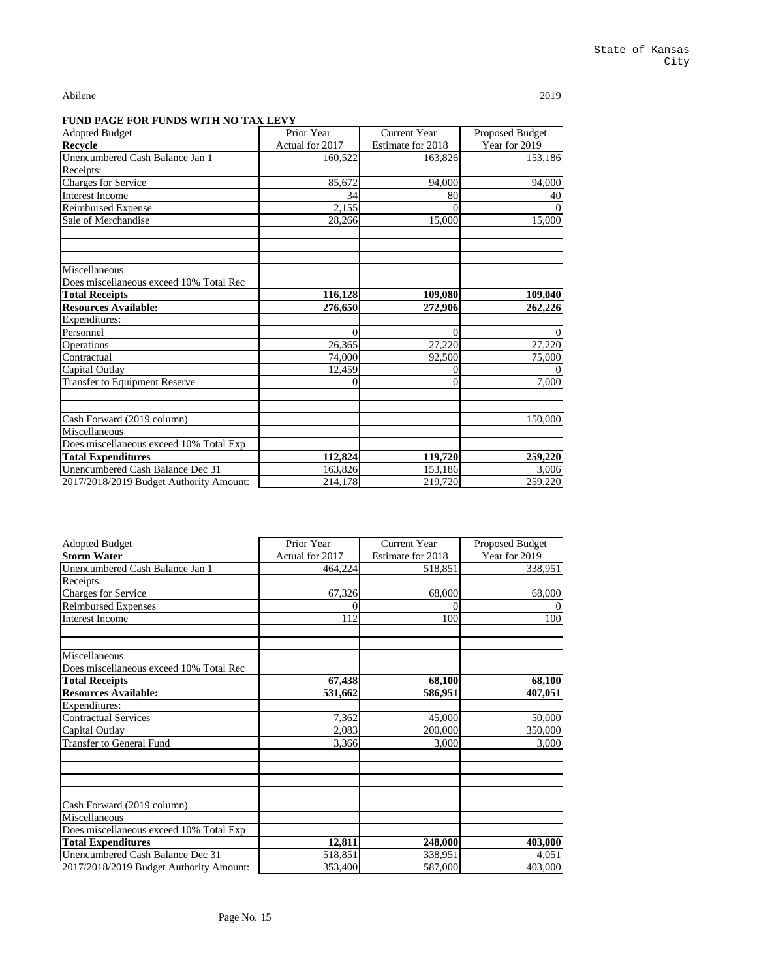| <b>Adopted Budget</b>                   | Prior Year      | <b>Current Year</b> | Proposed Budget |
|-----------------------------------------|-----------------|---------------------|-----------------|
| Recycle                                 | Actual for 2017 | Estimate for 2018   | Year for 2019   |
| Unencumbered Cash Balance Jan 1         | 160,522         | 163,826             | 153,186         |
| Receipts:                               |                 |                     |                 |
| <b>Charges for Service</b>              | 85,672          | 94,000              | 94,000          |
| <b>Interest Income</b>                  | 34              | 80                  | 40              |
| <b>Reimbursed Expense</b>               | 2,155           |                     |                 |
| Sale of Merchandise                     | 28,266          | 15,000              | 15,000          |
|                                         |                 |                     |                 |
| Miscellaneous                           |                 |                     |                 |
| Does miscellaneous exceed 10% Total Rec |                 |                     |                 |
| <b>Total Receipts</b>                   | 116,128         | 109,080             | 109,040         |
| <b>Resources Available:</b>             | 276,650         | 272,906             | 262,226         |
| Expenditures:                           |                 |                     |                 |
| Personnel                               | $\Omega$        | $\overline{0}$      | $\Omega$        |
| Operations                              | 26,365          | 27,220              | 27,220          |
| Contractual                             | 74,000          | 92,500              | 75,000          |
| Capital Outlay                          | 12,459          |                     |                 |
| <b>Transfer to Equipment Reserve</b>    | 0               | $\overline{0}$      | 7,000           |
|                                         |                 |                     |                 |
| Cash Forward (2019 column)              |                 |                     | 150,000         |
| Miscellaneous                           |                 |                     |                 |
| Does miscellaneous exceed 10% Total Exp |                 |                     |                 |
| <b>Total Expenditures</b>               | 112,824         | 119,720             | 259,220         |
| Unencumbered Cash Balance Dec 31        | 163,826         | 153,186             | 3,006           |
| 2017/2018/2019 Budget Authority Amount: | 214,178         | 219,720             | 259,220         |

| <b>Adopted Budget</b>                   | Prior Year      | <b>Current Year</b> | <b>Proposed Budget</b> |
|-----------------------------------------|-----------------|---------------------|------------------------|
| <b>Storm Water</b>                      | Actual for 2017 | Estimate for 2018   | Year for 2019          |
| Unencumbered Cash Balance Jan 1         | 464,224         | 518,851             | 338,951                |
| Receipts:                               |                 |                     |                        |
| <b>Charges for Service</b>              | 67,326          | 68,000              | 68,000                 |
| <b>Reimbursed Expenses</b>              |                 |                     |                        |
| <b>Interest Income</b>                  | 112             | 100                 | 100                    |
| Miscellaneous                           |                 |                     |                        |
| Does miscellaneous exceed 10% Total Rec |                 |                     |                        |
| <b>Total Receipts</b>                   | 67,438          | 68,100              | 68,100                 |
| <b>Resources Available:</b>             | 531,662         | 586,951             | 407,051                |
| Expenditures:                           |                 |                     |                        |
| <b>Contractual Services</b>             | 7,362           | 45,000              | 50,000                 |
| Capital Outlay                          | 2,083           | 200,000             | 350,000                |
| <b>Transfer to General Fund</b>         | 3,366           | 3,000               | 3,000                  |
|                                         |                 |                     |                        |
| Cash Forward (2019 column)              |                 |                     |                        |
| Miscellaneous                           |                 |                     |                        |
| Does miscellaneous exceed 10% Total Exp |                 |                     |                        |
| <b>Total Expenditures</b>               | 12,811          | 248,000             | 403,000                |
| Unencumbered Cash Balance Dec 31        | 518,851         | 338,951             | 4,051                  |
| 2017/2018/2019 Budget Authority Amount: | 353,400         | 587,000             | 403,000                |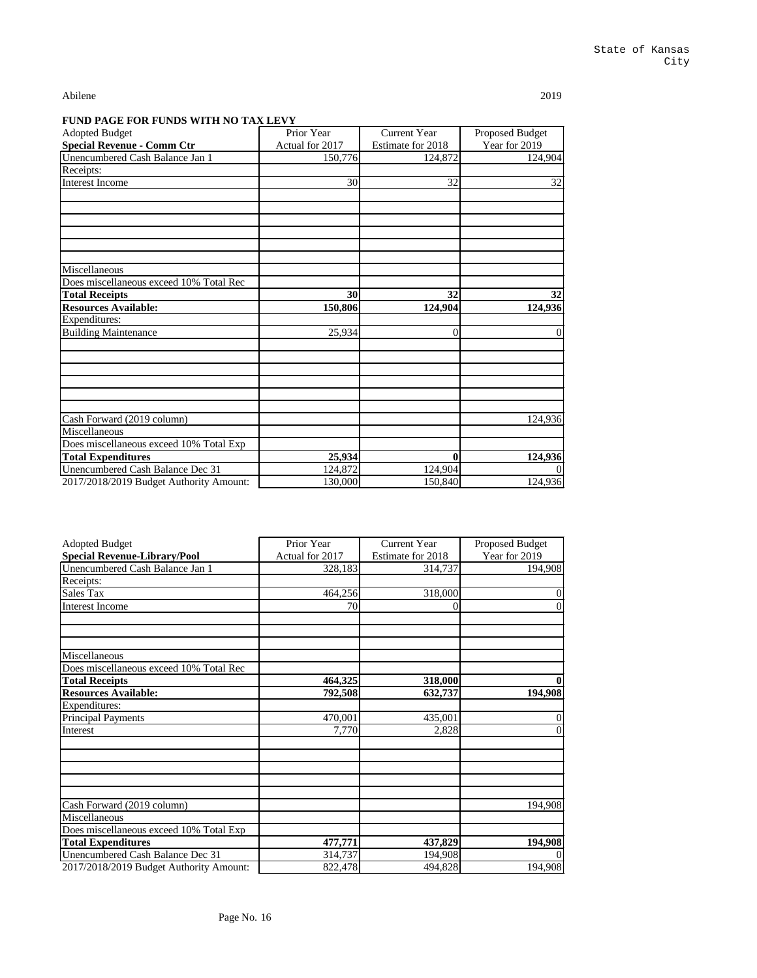| <b>Adopted Budget</b>                   | Prior Year      | <b>Current Year</b> | <b>Proposed Budget</b> |
|-----------------------------------------|-----------------|---------------------|------------------------|
| <b>Special Revenue - Comm Ctr</b>       | Actual for 2017 | Estimate for 2018   | Year for 2019          |
| Unencumbered Cash Balance Jan 1         | 150,776         | 124,872             | 124,904                |
| Receipts:                               |                 |                     |                        |
| Interest Income                         | 30              | 32                  | 32                     |
|                                         |                 |                     |                        |
|                                         |                 |                     |                        |
| Miscellaneous                           |                 |                     |                        |
| Does miscellaneous exceed 10% Total Rec |                 |                     |                        |
| <b>Total Receipts</b>                   | 30              | 32                  | 32                     |
| <b>Resources Available:</b>             | 150,806         | 124,904             | 124,936                |
| Expenditures:                           |                 |                     |                        |
| <b>Building Maintenance</b>             | 25,934          | $\overline{0}$      | $\theta$               |
|                                         |                 |                     |                        |
|                                         |                 |                     |                        |
| Cash Forward (2019 column)              |                 |                     | 124,936                |
| Miscellaneous                           |                 |                     |                        |
| Does miscellaneous exceed 10% Total Exp |                 |                     |                        |
| <b>Total Expenditures</b>               | 25,934          | $\boldsymbol{0}$    | 124,936                |
| Unencumbered Cash Balance Dec 31        | 124,872         | 124,904             |                        |
| 2017/2018/2019 Budget Authority Amount: | 130,000         | 150,840             | 124,936                |

| <b>Adopted Budget</b>                   | Prior Year      | <b>Current Year</b> | <b>Proposed Budget</b> |
|-----------------------------------------|-----------------|---------------------|------------------------|
| <b>Special Revenue-Library/Pool</b>     | Actual for 2017 | Estimate for 2018   | Year for 2019          |
| Unencumbered Cash Balance Jan 1         | 328,183         | 314,737             | 194,908                |
| Receipts:                               |                 |                     |                        |
| Sales Tax                               | 464,256         | 318,000             | $\mathbf{0}$           |
| <b>Interest Income</b>                  | 70              | 0                   | $\overline{0}$         |
|                                         |                 |                     |                        |
| Miscellaneous                           |                 |                     |                        |
| Does miscellaneous exceed 10% Total Rec |                 |                     |                        |
| <b>Total Receipts</b>                   | 464,325         | 318,000             | $\boldsymbol{0}$       |
| <b>Resources Available:</b>             | 792,508         | 632,737             | 194,908                |
| Expenditures:                           |                 |                     |                        |
| <b>Principal Payments</b>               | 470,001         | 435,001             | $\mathbf{0}$           |
| Interest                                | 7,770           | 2,828               | $\overline{0}$         |
|                                         |                 |                     |                        |
| Cash Forward (2019 column)              |                 |                     | 194,908                |
| Miscellaneous                           |                 |                     |                        |
| Does miscellaneous exceed 10% Total Exp |                 |                     |                        |
| <b>Total Expenditures</b>               | 477,771         | 437,829             | 194,908                |
| Unencumbered Cash Balance Dec 31        | 314,737         | 194,908             | $\Omega$               |
| 2017/2018/2019 Budget Authority Amount: | 822,478         | 494,828             | 194,908                |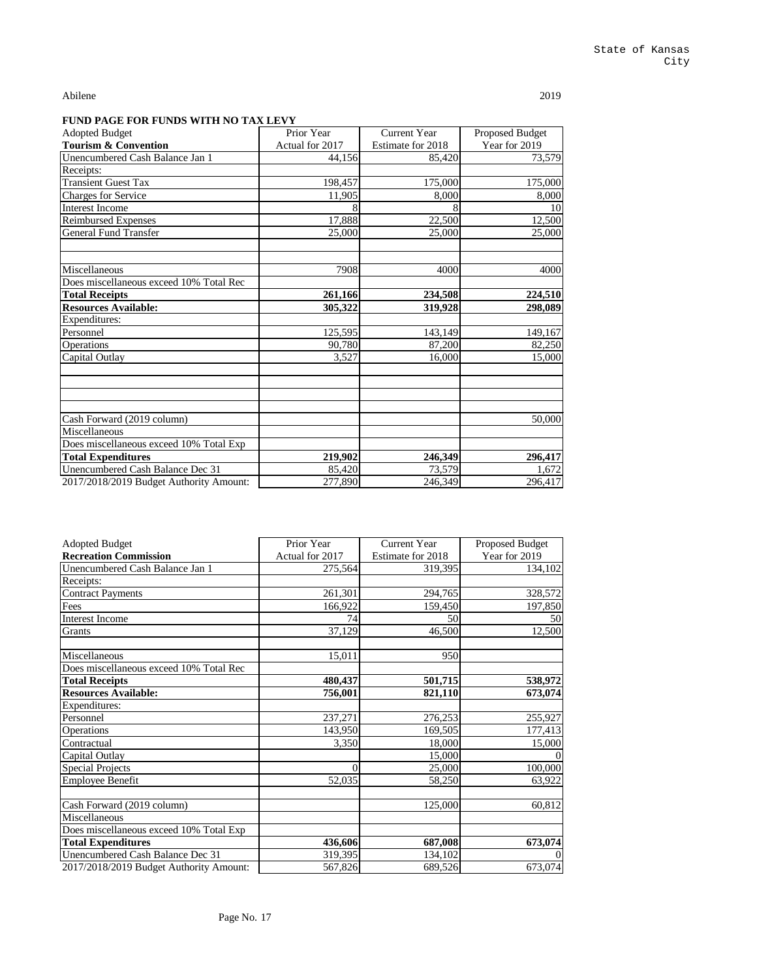| <b>Adopted Budget</b>                   | Prior Year      | <b>Current Year</b> | <b>Proposed Budget</b> |
|-----------------------------------------|-----------------|---------------------|------------------------|
| <b>Tourism &amp; Convention</b>         | Actual for 2017 | Estimate for 2018   | Year for 2019          |
| Unencumbered Cash Balance Jan 1         | 44,156          | 85,420              | 73,579                 |
| Receipts:                               |                 |                     |                        |
| <b>Transient Guest Tax</b>              | 198,457         | 175,000             | 175,000                |
| <b>Charges for Service</b>              | 11,905          | 8,000               | 8,000                  |
| <b>Interest Income</b>                  |                 |                     | 10                     |
| <b>Reimbursed Expenses</b>              | 17,888          | 22,500              | 12,500                 |
| <b>General Fund Transfer</b>            | 25,000          | 25,000              | 25,000                 |
|                                         |                 |                     |                        |
| Miscellaneous                           | 7908            | 4000                | 4000                   |
| Does miscellaneous exceed 10% Total Rec |                 |                     |                        |
| <b>Total Receipts</b>                   | 261,166         | 234,508             | 224,510                |
| <b>Resources Available:</b>             | 305,322         | 319,928             | 298,089                |
| Expenditures:                           |                 |                     |                        |
| Personnel                               | 125,595         | 143,149             | 149,167                |
| Operations                              | 90,780          | 87,200              | 82,250                 |
| Capital Outlay                          | 3,527           | 16,000              | 15,000                 |
|                                         |                 |                     |                        |
| Cash Forward (2019 column)              |                 |                     | 50,000                 |
| Miscellaneous                           |                 |                     |                        |
| Does miscellaneous exceed 10% Total Exp |                 |                     |                        |
| <b>Total Expenditures</b>               | 219,902         | 246,349             | 296,417                |
| Unencumbered Cash Balance Dec 31        | 85,420          | 73,579              | 1,672                  |
| 2017/2018/2019 Budget Authority Amount: | 277,890         | 246,349             | 296,417                |

| <b>Adopted Budget</b>                   | Prior Year      | <b>Current Year</b> | Proposed Budget |
|-----------------------------------------|-----------------|---------------------|-----------------|
| <b>Recreation Commission</b>            | Actual for 2017 | Estimate for 2018   | Year for 2019   |
| Unencumbered Cash Balance Jan 1         | 275,564         | 319,395             | 134,102         |
| Receipts:                               |                 |                     |                 |
| <b>Contract Payments</b>                | 261,301         | 294,765             | 328,572         |
| Fees                                    | 166,922         | 159,450             | 197,850         |
| <b>Interest Income</b>                  | 74              | 50                  | 50              |
| Grants                                  | 37,129          | 46,500              | 12,500          |
| Miscellaneous                           | 15,011          | 950                 |                 |
| Does miscellaneous exceed 10% Total Rec |                 |                     |                 |
| <b>Total Receipts</b>                   | 480,437         | 501,715             | 538,972         |
| <b>Resources Available:</b>             | 756,001         | 821,110             | 673,074         |
| Expenditures:                           |                 |                     |                 |
| Personnel                               | 237,271         | 276,253             | 255,927         |
| Operations                              | 143,950         | 169,505             | 177,413         |
| Contractual                             | 3,350           | 18,000              | 15,000          |
| Capital Outlay                          |                 | 15,000              |                 |
| <b>Special Projects</b>                 | $\theta$        | 25,000              | 100,000         |
| <b>Employee Benefit</b>                 | 52,035          | 58,250              | 63,922          |
| Cash Forward (2019 column)              |                 | 125,000             | 60,812          |
| Miscellaneous                           |                 |                     |                 |
| Does miscellaneous exceed 10% Total Exp |                 |                     |                 |
| <b>Total Expenditures</b>               | 436,606         | 687,008             | 673,074         |
| Unencumbered Cash Balance Dec 31        | 319,395         | 134,102             |                 |
| 2017/2018/2019 Budget Authority Amount: | 567,826         | 689,526             | 673,074         |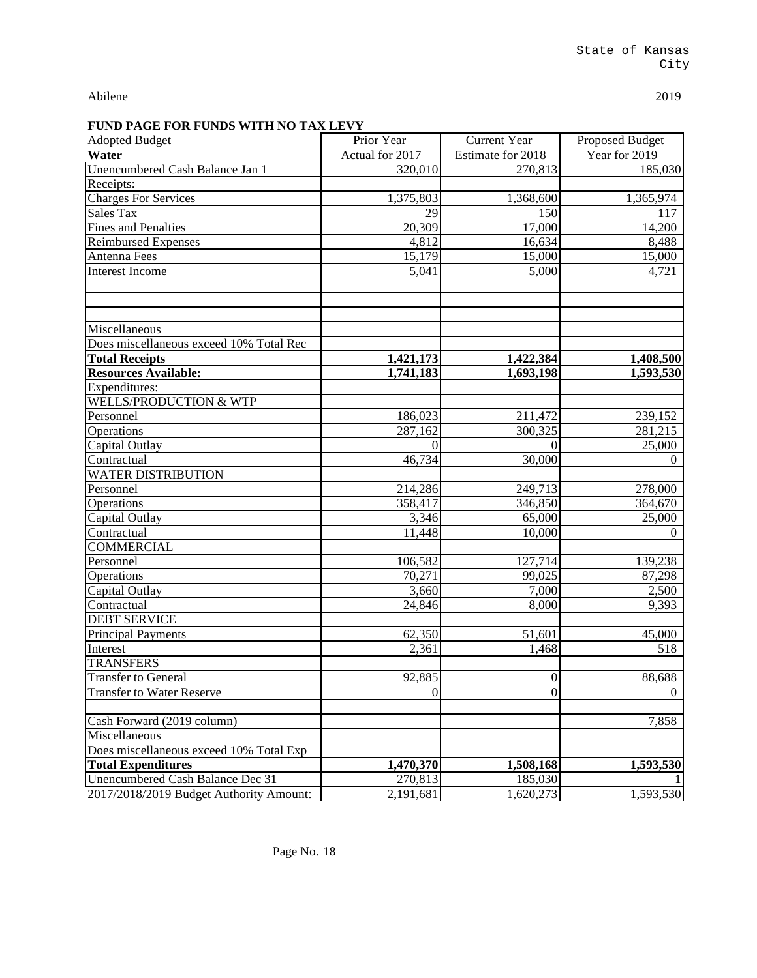| <u>UNI UNDO MIIIINO IIMIDD M</u><br><b>Adopted Budget</b> | Prior Year         | <b>Current Year</b> | <b>Proposed Budget</b> |
|-----------------------------------------------------------|--------------------|---------------------|------------------------|
| Water                                                     | Actual for 2017    | Estimate for 2018   | Year for 2019          |
| Unencumbered Cash Balance Jan 1                           | 320,010            | 270,813             | 185,030                |
| Receipts:                                                 |                    |                     |                        |
| <b>Charges For Services</b>                               | 1,375,803          | 1,368,600           | 1,365,974              |
| <b>Sales Tax</b>                                          | 29                 | 150                 | 117                    |
| <b>Fines and Penalties</b>                                | 20,309             | $\overline{17,000}$ | 14,200                 |
| <b>Reimbursed Expenses</b>                                | 4,812              | 16,634              | 8,488                  |
| Antenna Fees                                              | 15,179             | 15,000              | 15,000                 |
| <b>Interest Income</b>                                    | 5,041              | 5,000               | 4,721                  |
|                                                           |                    |                     |                        |
|                                                           |                    |                     |                        |
|                                                           |                    |                     |                        |
| Miscellaneous                                             |                    |                     |                        |
| Does miscellaneous exceed 10% Total Rec                   |                    |                     |                        |
| <b>Total Receipts</b>                                     | 1,421,173          | 1,422,384           | 1,408,500              |
| Resources Available:                                      | 1,741,183          | 1,693,198           | 1,593,530              |
| Expenditures:                                             |                    |                     |                        |
| <b>WELLS/PRODUCTION &amp; WTP</b>                         |                    |                     |                        |
| Personnel                                                 | 186,023            | 211,472             | 239,152                |
| Operations                                                | 287,162            | 300,325             | 281,215                |
| Capital Outlay                                            |                    |                     | 25,000                 |
| Contractual                                               | 46,734             | 30,000              | $\Omega$               |
| <b>WATER DISTRIBUTION</b>                                 |                    |                     |                        |
| Personnel                                                 | 214,286            | 249,713             | 278,000                |
| Operations                                                | 358,417            | 346,850             | 364,670                |
| Capital Outlay                                            | $\overline{3,346}$ | 65,000              | 25,000                 |
| Contractual                                               | 11,448             | 10,000              | $\overline{0}$         |
| <b>COMMERCIAL</b>                                         |                    |                     |                        |
| Personnel                                                 | 106,582            | 127,714             | 139,238                |
| Operations                                                | 70,271             | 99,025              | 87,298                 |
| Capital Outlay                                            | 3,660              | 7,000               | 2,500                  |
| Contractual                                               | 24,846             | 8,000               | 9,393                  |
| <b>DEBT SERVICE</b>                                       |                    |                     |                        |
| <b>Principal Payments</b>                                 | 62,350             | 51,601              | 45,000                 |
| Interest                                                  | 2,361              | 1,468               | 518                    |
| <b>TRANSFERS</b>                                          |                    |                     |                        |
| <b>Transfer to General</b>                                | 92,885             | $\boldsymbol{0}$    | 88,688                 |
| <b>Transfer to Water Reserve</b>                          | $\theta$           | $\boldsymbol{0}$    | $\Omega$               |
|                                                           |                    |                     |                        |
| Cash Forward (2019 column)                                |                    |                     | 7,858                  |
| Miscellaneous                                             |                    |                     |                        |
| Does miscellaneous exceed 10% Total Exp                   |                    |                     |                        |
| <b>Total Expenditures</b>                                 | 1,470,370          | 1,508,168           | 1,593,530              |
| Unencumbered Cash Balance Dec 31                          | 270,813            | 185,030             |                        |
| 2017/2018/2019 Budget Authority Amount:                   | 2,191,681          | 1,620,273           | 1,593,530              |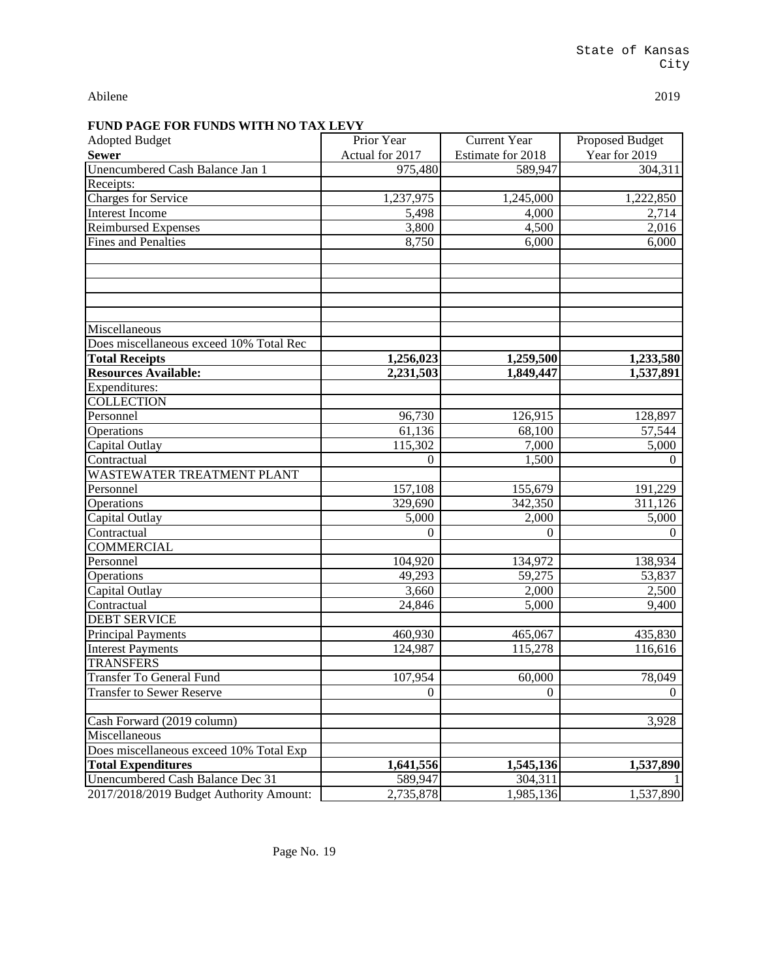| <u>UND LINUE FON FUNDD WELH NO TIME EEU I</u> |                 |                     |                        |
|-----------------------------------------------|-----------------|---------------------|------------------------|
| <b>Adopted Budget</b>                         | Prior Year      | <b>Current Year</b> | <b>Proposed Budget</b> |
| <b>Sewer</b>                                  | Actual for 2017 | Estimate for 2018   | Year for 2019          |
| Unencumbered Cash Balance Jan 1               | 975,480         | 589,947             | 304,311                |
| Receipts:                                     |                 |                     |                        |
| Charges for Service                           | 1,237,975       | 1,245,000           | 1,222,850              |
| <b>Interest Income</b>                        | 5,498           | 4,000               | 2,714                  |
| <b>Reimbursed Expenses</b>                    | 3,800           | 4,500               | 2,016                  |
| <b>Fines and Penalties</b>                    | 8,750           | 6,000               | 6,000                  |
|                                               |                 |                     |                        |
| Miscellaneous                                 |                 |                     |                        |
| Does miscellaneous exceed 10% Total Rec       |                 |                     |                        |
| <b>Total Receipts</b>                         | 1,256,023       | 1,259,500           | 1,233,580              |
| <b>Resources Available:</b>                   | 2,231,503       | 1,849,447           | 1,537,891              |
| Expenditures:                                 |                 |                     |                        |
| <b>COLLECTION</b>                             |                 |                     |                        |
| Personnel                                     | 96,730          | 126,915             | 128,897                |
| Operations                                    | 61,136          | 68,100              | 57,544                 |
| Capital Outlay                                | 115,302         | 7,000               | 5,000                  |
| Contractual                                   | 0               | 1,500               | $\Omega$               |
| WASTEWATER TREATMENT PLANT                    |                 |                     |                        |
| Personnel                                     | 157,108         | 155,679             | 191,229                |
| Operations                                    | 329,690         | 342,350             | 311,126                |
| Capital Outlay                                | 5,000           | 2,000               | 5,000                  |
| Contractual                                   | $\overline{0}$  | $\boldsymbol{0}$    | $\Omega$               |
| <b>COMMERCIAL</b>                             |                 |                     |                        |
| Personnel                                     | 104,920         | 134,972             | 138,934                |
| Operations                                    | 49,293          | 59,275              | 53,837                 |
| Capital Outlay                                | 3,660           | 2,000               | 2,500                  |
| Contractual                                   | 24,846          | 5,000               | 9,400                  |
| <b>DEBT SERVICE</b>                           |                 |                     |                        |
| <b>Principal Payments</b>                     | 460,930         | 465,067             | 435,830                |
| <b>Interest Payments</b>                      | 124,987         | 115,278             | 116,616                |
| <b>TRANSFERS</b>                              |                 |                     |                        |
| <b>Transfer To General Fund</b>               | 107,954         | 60,000              | 78,049                 |
| <b>Transfer to Sewer Reserve</b>              | $\overline{0}$  | $\mathbf{0}$        | $\theta$               |
|                                               |                 |                     |                        |
| Cash Forward (2019 column)                    |                 |                     | 3,928                  |
| Miscellaneous                                 |                 |                     |                        |
| Does miscellaneous exceed 10% Total Exp       |                 |                     |                        |
| <b>Total Expenditures</b>                     | 1,641,556       | 1,545,136           | 1,537,890              |
|                                               |                 |                     |                        |
| Unencumbered Cash Balance Dec 31              | 589,947         | 304,311             |                        |
| 2017/2018/2019 Budget Authority Amount:       | 2,735,878       | 1,985,136           | 1,537,890              |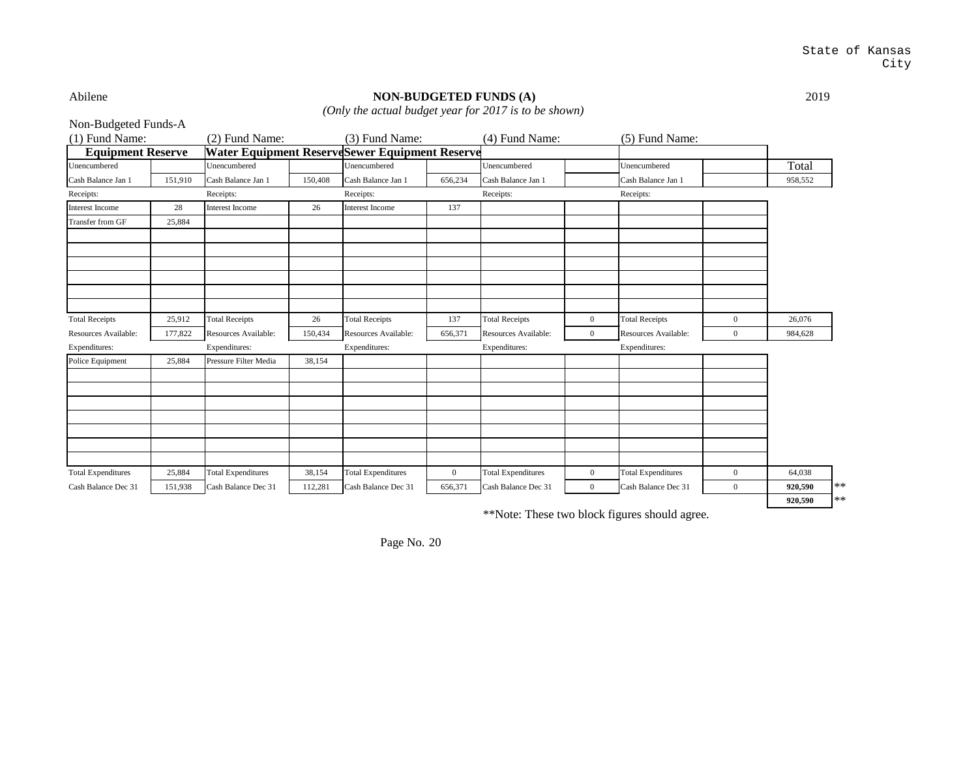## Abilene **NON-BUDGETED FUNDS (A)** 2019

*(Only the actual budget year for 2017 is to be shown)*

| Non-Budgeted Funds-A      |         |                           |         |                                                       |                |                           |                |                           |                |         |            |
|---------------------------|---------|---------------------------|---------|-------------------------------------------------------|----------------|---------------------------|----------------|---------------------------|----------------|---------|------------|
| (1) Fund Name:            |         | (2) Fund Name:            |         | (3) Fund Name:                                        |                | (4) Fund Name:            |                | (5) Fund Name:            |                |         |            |
| <b>Equipment Reserve</b>  |         |                           |         | <b>Water Equipment ReserveSewer Equipment Reserve</b> |                |                           |                |                           |                |         |            |
| Unencumbered              |         | Unencumbered              |         | Unencumbered                                          |                | Unencumbered              |                | Unencumbered              |                | Total   |            |
| Cash Balance Jan 1        | 151,910 | Cash Balance Jan 1        | 150,408 | Cash Balance Jan 1                                    | 656,234        | Cash Balance Jan 1        |                | Cash Balance Jan 1        |                | 958,552 |            |
| Receipts:                 |         | Receipts:                 |         | Receipts:                                             |                | Receipts:                 |                | Receipts:                 |                |         |            |
| Interest Income           | 28      | <b>Interest Income</b>    | 26      | <b>Interest Income</b>                                | 137            |                           |                |                           |                |         |            |
| Transfer from GF          | 25,884  |                           |         |                                                       |                |                           |                |                           |                |         |            |
|                           |         |                           |         |                                                       |                |                           |                |                           |                |         |            |
|                           |         |                           |         |                                                       |                |                           |                |                           |                |         |            |
|                           |         |                           |         |                                                       |                |                           |                |                           |                |         |            |
|                           |         |                           |         |                                                       |                |                           |                |                           |                |         |            |
| <b>Total Receipts</b>     | 25,912  | <b>Total Receipts</b>     | 26      | <b>Total Receipts</b>                                 | 137            | <b>Total Receipts</b>     | $\overline{0}$ | <b>Total Receipts</b>     | $\overline{0}$ | 26.076  |            |
| Resources Available:      | 177,822 | Resources Available:      | 150,434 | Resources Available:                                  | 656,371        | Resources Available:      | $\overline{0}$ | Resources Available:      | $\overline{0}$ | 984,628 |            |
| Expenditures:             |         | Expenditures:             |         | Expenditures:                                         |                | Expenditures:             |                | Expenditures:             |                |         |            |
| Police Equipment          | 25,884  | Pressure Filter Media     | 38,154  |                                                       |                |                           |                |                           |                |         |            |
|                           |         |                           |         |                                                       |                |                           |                |                           |                |         |            |
|                           |         |                           |         |                                                       |                |                           |                |                           |                |         |            |
|                           |         |                           |         |                                                       |                |                           |                |                           |                |         |            |
|                           |         |                           |         |                                                       |                |                           |                |                           |                |         |            |
| <b>Total Expenditures</b> | 25,884  | <b>Total Expenditures</b> | 38,154  | <b>Total Expenditures</b>                             | $\overline{0}$ | <b>Total Expenditures</b> | $\overline{0}$ | <b>Total Expenditures</b> | $\overline{0}$ | 64.038  |            |
| Cash Balance Dec 31       | 151,938 | Cash Balance Dec 31       | 112,281 | Cash Balance Dec 31                                   | 656,371        | Cash Balance Dec 31       | $\overline{0}$ | Cash Balance Dec 31       | $\overline{0}$ | 920,590 | $**$       |
|                           |         |                           |         |                                                       |                |                           |                |                           |                | 920,590 | $\ast\ast$ |
|                           |         |                           |         |                                                       |                |                           |                |                           |                |         |            |

\*\*Note: These two block figures should agree.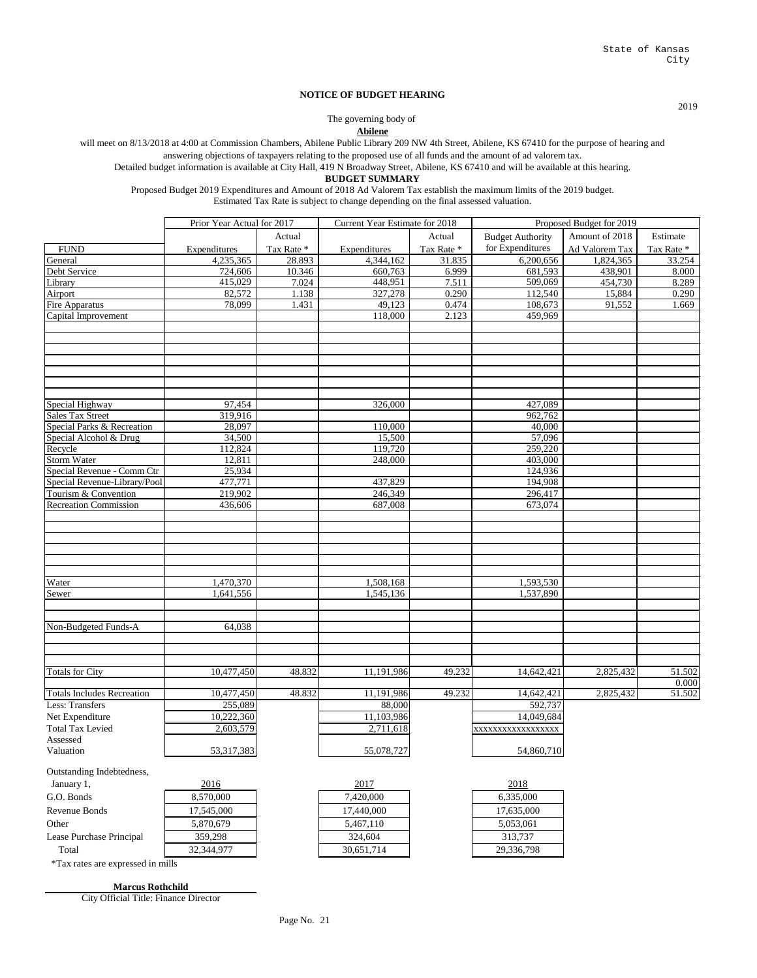2019

#### **BUDGET SUMMARY**

Proposed Budget 2019 Expenditures and Amount of 2018 Ad Valorem Tax establish the maximum limits of the 2019 budget. Estimated Tax Rate is subject to change depending on the final assessed valuation.

|                                   | Prior Year Actual for 2017 |            | <b>Current Year Estimate for 2018</b> |            | Proposed Budget for 2019 |                |            |
|-----------------------------------|----------------------------|------------|---------------------------------------|------------|--------------------------|----------------|------------|
|                                   |                            | Actual     |                                       | Actual     | <b>Budget Authority</b>  | Amount of 2018 | Estimate   |
| <b>FUND</b>                       | Expenditures               | Tax Rate * | Expenditures                          | Tax Rate * | for Expenditures         | Ad Valorem Tax | Tax Rate * |
| General                           | 4,235,365                  | 28.893     | 4,344,162                             | 31.835     | 6,200,656                | 1,824,365      | 33.254     |
| Debt Service                      | 724,606                    | 10.346     | 660,763                               | 6.999      | 681,593                  | 438,901        | 8.000      |
| Library                           | 415,029                    | 7.024      | 448,951                               | 7.511      | 509,069                  | 454,730        | 8.289      |
| Airport                           | 82,572                     | 1.138      | 327,278                               | 0.290      | 112,540                  | 15,884         | 0.290      |
| Fire Apparatus                    | 78,099                     | 1.431      | 49,123                                | 0.474      | 108,673                  | 91,552         | 1.669      |
| Capital Improvement               |                            |            | 118,000                               | 2.123      | 459,969                  |                |            |
|                                   |                            |            |                                       |            |                          |                |            |
|                                   |                            |            |                                       |            |                          |                |            |
|                                   |                            |            |                                       |            |                          |                |            |
|                                   |                            |            |                                       |            |                          |                |            |
|                                   |                            |            |                                       |            |                          |                |            |
|                                   |                            |            |                                       |            |                          |                |            |
|                                   |                            |            |                                       |            |                          |                |            |
| Special Highway                   | 97,454                     |            | 326,000                               |            | 427,089                  |                |            |
| <b>Sales Tax Street</b>           | 319,916                    |            |                                       |            | 962,762                  |                |            |
| Special Parks & Recreation        | 28,097                     |            | 110,000                               |            | 40,000                   |                |            |
| Special Alcohol & Drug            | 34,500                     |            | 15,500                                |            | 57,096                   |                |            |
| Recycle                           | 112,824                    |            | 119,720                               |            | 259,220                  |                |            |
| <b>Storm Water</b>                | 12,811                     |            | 248,000                               |            | 403,000                  |                |            |
| Special Revenue - Comm Ctr        | 25,934                     |            |                                       |            | 124,936                  |                |            |
| Special Revenue-Library/Pool      | 477,771                    |            | 437,829                               |            | 194,908                  |                |            |
| Tourism & Convention              | 219,902                    |            | 246,349                               |            | 296,417                  |                |            |
| <b>Recreation Commission</b>      | 436,606                    |            | 687,008                               |            | 673,074                  |                |            |
|                                   |                            |            |                                       |            |                          |                |            |
|                                   |                            |            |                                       |            |                          |                |            |
|                                   |                            |            |                                       |            |                          |                |            |
|                                   |                            |            |                                       |            |                          |                |            |
|                                   |                            |            |                                       |            |                          |                |            |
| Water                             | 1,470,370                  |            | 1,508,168                             |            | 1,593,530                |                |            |
| Sewer                             | 1,641,556                  |            | 1,545,136                             |            | 1,537,890                |                |            |
|                                   |                            |            |                                       |            |                          |                |            |
|                                   |                            |            |                                       |            |                          |                |            |
| Non-Budgeted Funds-A              | 64,038                     |            |                                       |            |                          |                |            |
|                                   |                            |            |                                       |            |                          |                |            |
|                                   |                            |            |                                       |            |                          |                |            |
|                                   |                            |            |                                       |            |                          |                |            |
| <b>Totals for City</b>            | 10,477,450                 | 48.832     | 11,191,986                            | 49.232     | 14,642,421               | 2,825,432      | 51.502     |
|                                   |                            |            |                                       |            |                          |                | 0.000      |
| <b>Totals Includes Recreation</b> | 10,477,450                 | 48.832     | 11,191,986                            | 49.232     | 14,642,421               | 2,825,432      | 51.502     |
| Less: Transfers                   | 255,089                    |            | 88,000                                |            | 592,737                  |                |            |
| Net Expenditure                   | 10,222,360                 |            | 11,103,986                            |            | 14,049,684               |                |            |



\*Tax rates are expressed in mills

Page No. 21

#### **NOTICE OF BUDGET HEARING**

**Abilene**

Detailed budget information is available at City Hall, 419 N Broadway Street, Abilene, KS 67410 and will be available at this hearing.

answering objections of taxpayers relating to the proposed use of all funds and the amount of ad valorem tax. will meet on 8/13/2018 at 4:00 at Commission Chambers, Abilene Public Library 209 NW 4th Street, Abilene, KS 67410 for the purpose of hearing and

The governing body of

City Official Title: Finance Director

**Marcus Rothchild**